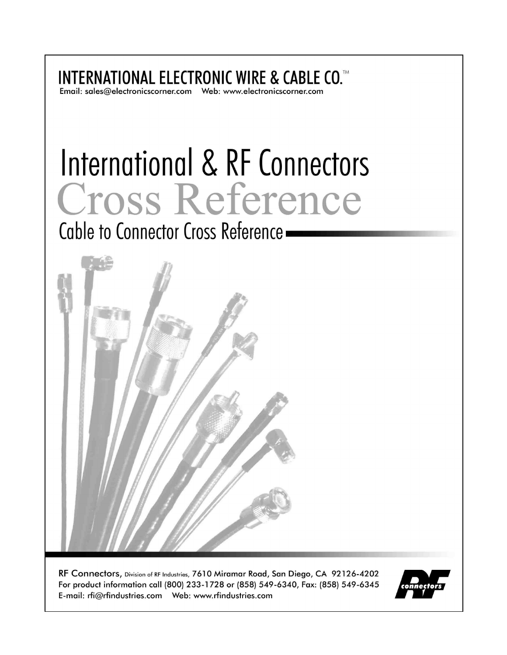**INTERNATIONAL ELECTRONIC WIRE & CABLE CO.™** 

# International & RF Connectors Cross Reference

Cable to Connector Cross Reference -



RF Connectors, Division of RF Industries, 7610 Miramar Road, San Diego, CA 92126-4202 For product information call (800) 233-1728 or (858) 549-6340, Fax: (858) 549-6345 

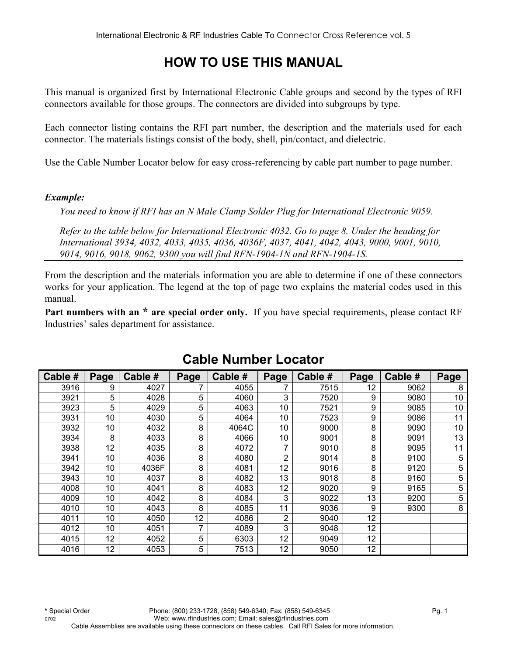# **HOW TO USE THIS MANUAL**

This manual is organized first by International Electronic Cable groups and second by the types of RFI connectors available for those groups. The connectors are divided into subgroups by type.

Each connector listing contains the RFI part number, the description and the materials used for each connector. The materials listings consist of the body, shell, pin/contact, and dielectric.

Use the Cable Number Locator below for easy cross-referencing by cable part number to page number.

#### *Example:*

*You need to know if RFI has an N Male Clamp Solder Plug for International Electronic 9059.* 

*Refer to the table below for International Electronic 4032. Go to page 8. Under the heading for International 3934, 4032, 4033, 4035, 4036, 4036F, 4037, 4041, 4042, 4043, 9000, 9001, 9010, 9014, 9016, 9018, 9062, 9300 you will find RFN-1904-1N and RFN-1904-1S.* 

From the description and the materials information you are able to determine if one of these connectors works for your application. The legend at the top of page two explains the material codes used in this manual.

**Part numbers with an \* are special order only.** If you have special requirements, please contact RF Industries' sales department for assistance.

| Cable # | Page | Cable # | Page | Cable # | Page | Cable # | Page | Cable # | Page |
|---------|------|---------|------|---------|------|---------|------|---------|------|
| 3916    | 9    | 4027    |      | 4055    |      | 7515    | 12   | 9062    | 8    |
| 3921    | 5    | 4028    | 5    | 4060    | 3    | 7520    | 9    | 9080    | 10   |
| 3923    | 5    | 4029    | 5    | 4063    | 10   | 7521    | 9    | 9085    | 10   |
| 3931    | 10   | 4030    | 5    | 4064    | 10   | 7523    | 9    | 9086    | 11   |
| 3932    | 10   | 4032    | 8    | 4064C   | 10   | 9000    | 8    | 9090    | 10   |
| 3934    | 8    | 4033    | 8    | 4066    | 10   | 9001    | 8    | 9091    | 13   |
| 3938    | 12   | 4035    | 8    | 4072    | 7    | 9010    | 8    | 9095    | 11   |
| 3941    | 10   | 4036    | 8    | 4080    | 2    | 9014    | 8    | 9100    | 5    |
| 3942    | 10   | 4036F   | 8    | 4081    | 12   | 9016    | 8    | 9120    | 5    |
| 3943    | 10   | 4037    | 8    | 4082    | 13   | 9018    | 8    | 9160    | 5    |
| 4008    | 10   | 4041    | 8    | 4083    | 12   | 9020    | 9    | 9165    | 5    |
| 4009    | 10   | 4042    | 8    | 4084    | 3    | 9022    | 13   | 9200    | 5    |
| 4010    | 10   | 4043    | 8    | 4085    | 11   | 9036    | 9    | 9300    | 8    |
| 4011    | 10   | 4050    | 12   | 4086    | 2    | 9040    | 12   |         |      |
| 4012    | 10   | 4051    | 7    | 4089    | 3    | 9048    | 12   |         |      |
| 4015    | 12   | 4052    | 5    | 6303    | 12   | 9049    | 12   |         |      |
| 4016    | 12   | 4053    | 5    | 7513    | 12   | 9050    | 12   |         |      |

# **Cable Number Locator**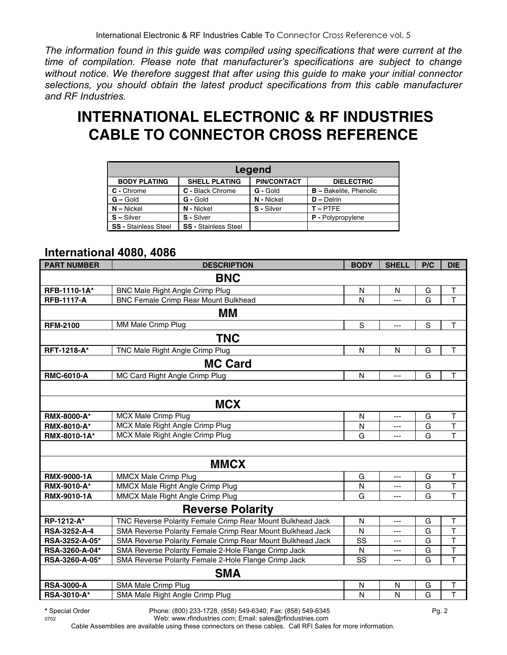*The information found in this guide was compiled using specifications that were current at the time of compilation. Please note that manufacturer's specifications are subject to change without notice. We therefore suggest that after using this guide to make your initial connector selections, you should obtain the latest product specifications from this cable manufacturer and RF Industries.*

# **INTERNATIONAL ELECTRONIC & RF INDUSTRIES CABLE TO CONNECTOR CROSS REFERENCE**

| Legend                      |                             |                    |                               |  |  |  |  |  |
|-----------------------------|-----------------------------|--------------------|-------------------------------|--|--|--|--|--|
| <b>BODY PLATING</b>         | <b>SHELL PLATING</b>        | <b>PIN/CONTACT</b> | <b>DIELECTRIC</b>             |  |  |  |  |  |
| C - Chrome                  | C - Black Chrome            | G - Gold           | <b>B</b> - Bakelite, Phenolic |  |  |  |  |  |
| $G -$ Gold                  | G - Gold                    | N - Nickel         | $D -$ Delrin                  |  |  |  |  |  |
| $N -$ Nickel                | N - Nickel                  | S - Silver         | $T - PTFE$                    |  |  |  |  |  |
| $S -$ Silver                | S - Silver                  |                    | <b>P</b> - Polypropylene      |  |  |  |  |  |
| <b>SS - Stainless Steel</b> | <b>SS - Stainless Steel</b> |                    |                               |  |  |  |  |  |

#### **International 4080, 4086**

| <b>PART NUMBER</b> | <b>DESCRIPTION</b>                                         | <b>BODY</b> | <b>SHELL</b>   | P/C | <b>DIE</b>              |
|--------------------|------------------------------------------------------------|-------------|----------------|-----|-------------------------|
|                    | <b>BNC</b>                                                 |             |                |     |                         |
| RFB-1110-1A*       | <b>BNC Male Right Angle Crimp Plug</b>                     | N           | N              | G   | $\top$                  |
| <b>RFB-1117-A</b>  | <b>BNC Female Crimp Rear Mount Bulkhead</b>                | N           | ---            | G   | T                       |
|                    | MМ                                                         |             |                |     |                         |
| <b>RFM-2100</b>    | MM Male Crimp Plug                                         | $\mathbf S$ | $---$          | S   | $\mathsf T$             |
|                    | <b>TNC</b>                                                 |             |                |     |                         |
| RFT-1218-A*        | TNC Male Right Angle Crimp Plug                            | N           | N              | G   | T                       |
|                    | <b>MC Card</b>                                             |             |                |     |                         |
| <b>RMC-6010-A</b>  | MC Card Right Angle Crimp Plug                             | N           | ---            | G   | T                       |
|                    |                                                            |             |                |     |                         |
|                    | <b>MCX</b>                                                 |             |                |     |                         |
| <b>RMX-8000-A*</b> | <b>MCX Male Crimp Plug</b>                                 | N           | ---            | G   | т                       |
| <b>RMX-8010-A*</b> | MCX Male Right Angle Crimp Plug                            | N           | ---            | G   | $\overline{\mathsf{T}}$ |
| RMX-8010-1A*       | MCX Male Right Angle Crimp Plug                            | G           | ---            | G   | T                       |
|                    |                                                            |             |                |     |                         |
|                    | <b>MMCX</b>                                                |             |                |     |                         |
| <b>RMX-9000-1A</b> | <b>MMCX Male Crimp Plug</b>                                | G           | ---            | G   | т                       |
| RMX-9010-A*        | MMCX Male Right Angle Crimp Plug                           | N           | ---            | G   | $\overline{\mathsf{T}}$ |
| RMX-9010-1A        | MMCX Male Right Angle Crimp Plug                           | G           | ---            | G   | T                       |
|                    | <b>Reverse Polarity</b>                                    |             |                |     |                         |
| RP-1212-A*         | TNC Reverse Polarity Female Crimp Rear Mount Bulkhead Jack | N           | $\overline{a}$ | G   | $\mathsf T$             |
| RSA-3252-A-4       | SMA Reverse Polarity Female Crimp Rear Mount Bulkhead Jack | N           | ---            | G   | $\overline{\mathsf{T}}$ |
| RSA-3252-A-05*     | SMA Reverse Polarity Female Crimp Rear Mount Bulkhead Jack | SS          | $---$          | G   | T                       |
| RSA-3260-A-04*     | SMA Reverse Polarity Female 2-Hole Flange Crimp Jack       | N           | ---            | G   | T                       |
| RSA-3260-A-05*     | SMA Reverse Polarity Female 2-Hole Flange Crimp Jack       | SS          | ---            | G   | $\overline{\mathsf{T}}$ |
|                    | <b>SMA</b>                                                 |             |                |     |                         |
| <b>RSA-3000-A</b>  | SMA Male Crimp Plug                                        | N           | N              | G   | $\mathsf T$             |
| <b>RSA-3010-A*</b> | SMA Male Right Angle Crimp Plug                            | N           | N              | G   | T                       |

**<sup>\*</sup>** Special Order Phone: (800) 233-1728, (858) 549-6340; Fax: (858) 549-6345 Pg. 2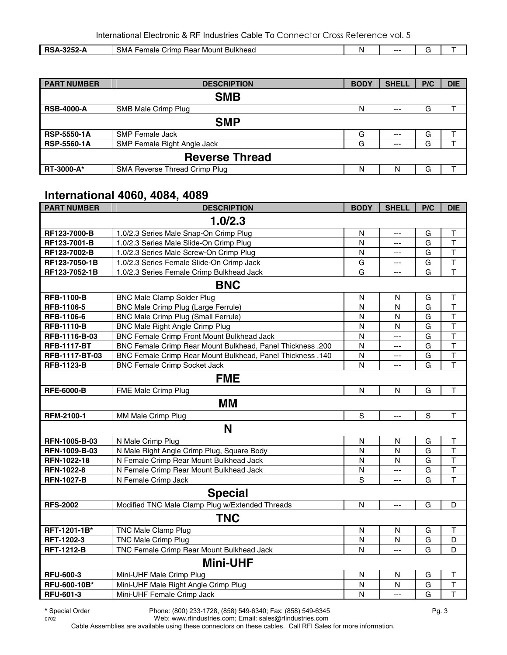| <b>RSA-32</b><br>225<br>Bulkhead<br><b>Hear Mount</b><br>Female<br>' crimp.<br>ظ™<br>252-A | N | --- |  |
|--------------------------------------------------------------------------------------------|---|-----|--|

| <b>PART NUMBER</b> | <b>DESCRIPTION</b>                 | <b>BODY</b> | <b>SHELL</b> | P/C | <b>DIE</b> |
|--------------------|------------------------------------|-------------|--------------|-----|------------|
|                    | <b>SMB</b>                         |             |              |     |            |
| <b>RSB-4000-A</b>  | SMB Male Crimp Plug                | N           | $---$        | G   |            |
|                    | <b>SMP</b>                         |             |              |     |            |
| <b>RSP-5550-1A</b> | <b>SMP Female Jack</b>             | G           | $--$         | G   |            |
| <b>RSP-5560-1A</b> | <b>SMP Female Right Angle Jack</b> | G           | $--$         | G   |            |
|                    | <b>Reverse Thread</b>              |             |              |     |            |
| <b>RT-3000-A*</b>  | SMA Reverse Thread Crimp Plug      | N           | N            | G   |            |

### **International 4060, 4084, 4089**

| <b>PART NUMBER</b> | <b>DESCRIPTION</b>                                                | <b>BODY</b>  | <b>SHELL</b>   | P/C         | <b>DIE</b>              |  |  |  |
|--------------------|-------------------------------------------------------------------|--------------|----------------|-------------|-------------------------|--|--|--|
| 1.0/2.3            |                                                                   |              |                |             |                         |  |  |  |
| RF123-7000-B       | 1.0/2.3 Series Male Snap-On Crimp Plug                            | N            | $\overline{a}$ | G           | $\top$                  |  |  |  |
| RF123-7001-B       | 1.0/2.3 Series Male Slide-On Crimp Plug                           | N            | $\overline{a}$ | G           | $\overline{\mathsf{T}}$ |  |  |  |
| RF123-7002-B       | 1.0/2.3 Series Male Screw-On Crimp Plug                           | N            | $\overline{a}$ | G           | $\top$                  |  |  |  |
| RF123-7050-1B      | 1.0/2.3 Series Female Slide-On Crimp Jack                         | G            | ---            | G           | $\top$                  |  |  |  |
| RF123-7052-1B      | 1.0/2.3 Series Female Crimp Bulkhead Jack                         | G            | ---            | G           | $\overline{1}$          |  |  |  |
|                    | <b>BNC</b>                                                        |              |                |             |                         |  |  |  |
| <b>RFB-1100-B</b>  | <b>BNC Male Clamp Solder Plug</b>                                 | N            | N              | G           | Τ                       |  |  |  |
| RFB-1106-5         | <b>BNC Male Crimp Plug (Large Ferrule)</b>                        | N            | N              | G           | $\mathsf{T}$            |  |  |  |
| RFB-1106-6         | <b>BNC Male Crimp Plug (Small Ferrule)</b>                        | N            | N              | G           | $\top$                  |  |  |  |
| <b>RFB-1110-B</b>  | <b>BNC Male Right Angle Crimp Plug</b>                            | N            | N              | G           | $\overline{\mathsf{T}}$ |  |  |  |
| RFB-1116-B-03      | <b>BNC Female Crimp Front Mount Bulkhead Jack</b>                 | N            | $\overline{a}$ | G           | $\overline{\mathsf{T}}$ |  |  |  |
| <b>RFB-1117-BT</b> | BNC Female Crimp Rear Mount Bulkhead, Panel Thickness .200        | N            | $---$          | G           | $\mathsf{T}$            |  |  |  |
| RFB-1117-BT-03     | <b>BNC Female Crimp Rear Mount Bulkhead, Panel Thickness .140</b> | N            | ---            | G           | $\top$                  |  |  |  |
| <b>RFB-1123-B</b>  | <b>BNC Female Crimp Socket Jack</b>                               | N            | ---            | G           | $\overline{\mathsf{T}}$ |  |  |  |
|                    | <b>FME</b>                                                        |              |                |             |                         |  |  |  |
| <b>RFE-6000-B</b>  | FME Male Crimp Plug                                               | $\mathsf{N}$ | N              | G           | $\top$                  |  |  |  |
|                    | МM                                                                |              |                |             |                         |  |  |  |
| RFM-2100-1         | MM Male Crimp Plug                                                | S            | $---$          | $\mathbf S$ | $\mathsf{T}$            |  |  |  |
|                    | N                                                                 |              |                |             |                         |  |  |  |
| RFN-1005-B-03      | N Male Crimp Plug                                                 | $\mathsf{N}$ | N              | G           | $\mathsf T$             |  |  |  |
| RFN-1009-B-03      | N Male Right Angle Crimp Plug, Square Body                        | N            | N              | G           | $\mathsf T$             |  |  |  |
| RFN-1022-18        | N Female Crimp Rear Mount Bulkhead Jack                           | N            | N              | G           | $\top$                  |  |  |  |
| RFN-1022-8         | N Female Crimp Rear Mount Bulkhead Jack                           | N            | $---$          | G           | $\overline{\mathsf{T}}$ |  |  |  |
| <b>RFN-1027-B</b>  | N Female Crimp Jack                                               | S            | $\overline{a}$ | G           | T                       |  |  |  |
|                    | <b>Special</b>                                                    |              |                |             |                         |  |  |  |
| <b>RFS-2002</b>    | Modified TNC Male Clamp Plug w/Extended Threads                   | N            | $---$          | G           | D                       |  |  |  |
|                    | <b>TNC</b>                                                        |              |                |             |                         |  |  |  |
| RFT-1201-1B*       | <b>TNC Male Clamp Plug</b>                                        | N            | N              | G           | $\top$                  |  |  |  |
| RFT-1202-3         | <b>TNC Male Crimp Plug</b>                                        | N            | N              | G           | D                       |  |  |  |
| <b>RFT-1212-B</b>  | <b>TNC Female Crimp Rear Mount Bulkhead Jack</b>                  | N            | ---            | G           | D                       |  |  |  |
|                    | <b>Mini-UHF</b>                                                   |              |                |             |                         |  |  |  |
| <b>RFU-600-3</b>   | Mini-UHF Male Crimp Plug                                          | N            | N              | G           | $\top$                  |  |  |  |
| RFU-600-10B*       | Mini-UHF Male Right Angle Crimp Plug                              | N            | N              | G           | $\mathsf T$             |  |  |  |
| RFU-601-3          | Mini-UHF Female Crimp Jack                                        | N            | $\overline{a}$ | G           | T                       |  |  |  |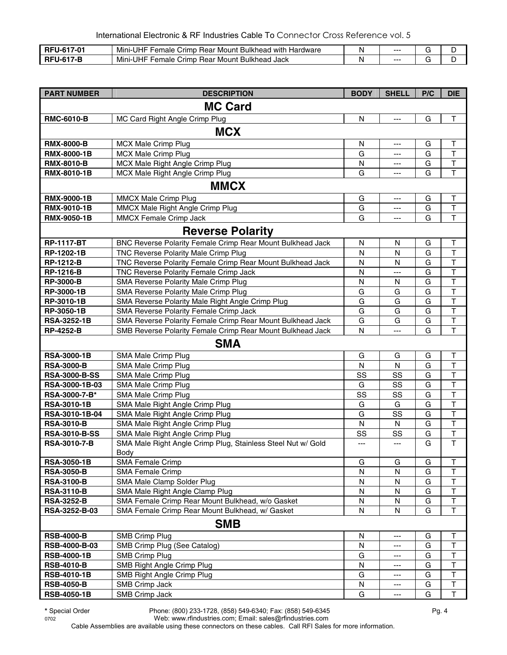| . .                                  | -UHF<br>Mini-l<br>-<br>Hardware<br>'−emale<br>∶ Bulkhead<br>Mount<br>l with<br>' rimpت<br><b>Rear</b> |    | $- -$ |  |
|--------------------------------------|-------------------------------------------------------------------------------------------------------|----|-------|--|
| . I-F<br>$\mathbf{r}$ - $\mathbf{r}$ | Mini-l<br>UHF<br><b>Bulkhead</b><br>∵Jack<br><b>Rear</b><br>Mount<br>-emale<br>∵ rimp                 | A. | $- -$ |  |

| <b>PART NUMBER</b>   | <b>DESCRIPTION</b>                                                          | <b>BODY</b> | <b>SHELL</b> | P/C            | <b>DIE</b>              |
|----------------------|-----------------------------------------------------------------------------|-------------|--------------|----------------|-------------------------|
|                      | <b>MC Card</b>                                                              |             |              |                |                         |
| <b>RMC-6010-B</b>    | MC Card Right Angle Crimp Plug                                              | N           | ---          | G              | $\mathsf T$             |
|                      | <b>MCX</b>                                                                  |             |              |                |                         |
| <b>RMX-8000-B</b>    | MCX Male Crimp Plug                                                         | N           |              | G              | Т                       |
| <b>RMX-8000-1B</b>   | <b>MCX Male Crimp Plug</b>                                                  | G           | ---<br>---   | G              | T                       |
| <b>RMX-8010-B</b>    | MCX Male Right Angle Crimp Plug                                             | N           | ---          | G              | $\sf T$                 |
| RMX-8010-1B          | MCX Male Right Angle Crimp Plug                                             | G           |              | G              | $\overline{\mathsf{T}}$ |
|                      |                                                                             |             |              |                |                         |
|                      | <b>MMCX</b>                                                                 |             |              |                |                         |
| <b>RMX-9000-1B</b>   | MMCX Male Crimp Plug                                                        | G           | ---          | G              | T                       |
| <b>RMX-9010-1B</b>   | MMCX Male Right Angle Crimp Plug                                            | G           | ---          | G              | T                       |
| <b>RMX-9050-1B</b>   | <b>MMCX Female Crimp Jack</b>                                               | G           |              | G              | $\overline{\mathsf{T}}$ |
|                      | <b>Reverse Polarity</b>                                                     |             |              |                |                         |
| <b>RP-1117-BT</b>    | BNC Reverse Polarity Female Crimp Rear Mount Bulkhead Jack                  | N           | N            | G              | Т                       |
| RP-1202-1B           | TNC Reverse Polarity Male Crimp Plug                                        | N           | N            | G              | T                       |
| <b>RP-1212-B</b>     | TNC Reverse Polarity Female Crimp Rear Mount Bulkhead Jack                  | N           | $\mathsf{N}$ | G              | $\overline{\mathsf{T}}$ |
| <b>RP-1216-B</b>     | TNC Reverse Polarity Female Crimp Jack                                      | Ν           | ---          | G              | T                       |
| <b>RP-3000-B</b>     | SMA Reverse Polarity Male Crimp Plug                                        | N           | N            | G              | T                       |
| RP-3000-1B           | SMA Reverse Polarity Male Crimp Plug                                        | G           | G            | G              | T                       |
| RP-3010-1B           | SMA Reverse Polarity Male Right Angle Crimp Plug                            | G           | G            | $\overline{G}$ | $\overline{\mathsf{T}}$ |
| RP-3050-1B           | SMA Reverse Polarity Female Crimp Jack                                      | G           | G            | G              | $\mathsf T$             |
| <b>RSA-3252-1B</b>   | SMA Reverse Polarity Female Crimp Rear Mount Bulkhead Jack                  | G           | G            | G              | $\overline{\mathsf{T}}$ |
| <b>RP-4252-B</b>     | SMB Reverse Polarity Female Crimp Rear Mount Bulkhead Jack                  | N           | ---          | G              | T                       |
|                      | <b>SMA</b>                                                                  |             |              |                |                         |
| <b>RSA-3000-1B</b>   | SMA Male Crimp Plug                                                         | G           | G            | G              | Τ                       |
| <b>RSA-3000-B</b>    | SMA Male Crimp Plug                                                         | ${\sf N}$   | $\mathsf{N}$ | G              | $\top$                  |
| <b>RSA-3000-B-SS</b> | SMA Male Crimp Plug                                                         | SS          | SS           | G              | $\top$                  |
| RSA-3000-1B-03       | SMA Male Crimp Plug                                                         | G           | SS           | G              | T                       |
| RSA-3000-7-B*        | SMA Male Crimp Plug                                                         | SS          | SS           | G              | $\overline{\mathsf{T}}$ |
| <b>RSA-3010-1B</b>   | SMA Male Right Angle Crimp Plug                                             | G           | G            | G              | $\overline{\mathsf{T}}$ |
| RSA-3010-1B-04       | SMA Male Right Angle Crimp Plug                                             | G           | SS           | G              | $\sf T$                 |
| <b>RSA-3010-B</b>    | SMA Male Right Angle Crimp Plug                                             | N           | N            | G              | $\overline{\mathsf{T}}$ |
| <b>RSA-3010-B-SS</b> | SMA Male Right Angle Crimp Plug                                             | SS          | SS           | G              | $\overline{\mathsf{T}}$ |
| <b>RSA-3010-7-B</b>  | SMA Male Right Angle Crimp Plug, Stainless Steel Nut w/ Gold<br><b>Body</b> | ---         | ---          | G              | $\mathsf T$             |
| <b>RSA-3050-1B</b>   | <b>SMA Female Crimp</b>                                                     | G           | G            | G              | T                       |
| <b>RSA-3050-B</b>    | <b>SMA Female Crimp</b>                                                     | N           | N            | G              | T                       |
| <b>RSA-3100-B</b>    | SMA Male Clamp Solder Plug                                                  | N           | N            | G              | T                       |
| <b>RSA-3110-B</b>    | SMA Male Right Angle Clamp Plug                                             | N           | N            | G              | $\overline{\mathsf{T}}$ |
| <b>RSA-3252-B</b>    | SMA Female Crimp Rear Mount Bulkhead, w/o Gasket                            | N           | N            | G              | $\mathsf T$             |
| RSA-3252-B-03        | SMA Female Crimp Rear Mount Bulkhead, w/ Gasket                             | N           | N            | G              | $\mathsf T$             |
|                      | <b>SMB</b>                                                                  |             |              |                |                         |
| <b>RSB-4000-B</b>    | <b>SMB Crimp Plug</b>                                                       | N           | ---          | G              | Т                       |
| RSB-4000-B-03        | SMB Crimp Plug (See Catalog)                                                | N           | ---          | G              | T                       |
| <b>RSB-4000-1B</b>   | <b>SMB Crimp Plug</b>                                                       | G           | ---          | G              | T                       |
| <b>RSB-4010-B</b>    | SMB Right Angle Crimp Plug                                                  | N           | ---          | G              | T                       |
| <b>RSB-4010-1B</b>   | SMB Right Angle Crimp Plug                                                  | G           | ---          | G              | T                       |
| <b>RSB-4050-B</b>    | SMB Crimp Jack                                                              | N           | ---          | G              | $\mathsf T$             |
| <b>RSB-4050-1B</b>   | SMB Crimp Jack                                                              | G           | ---          | G              | $\top$                  |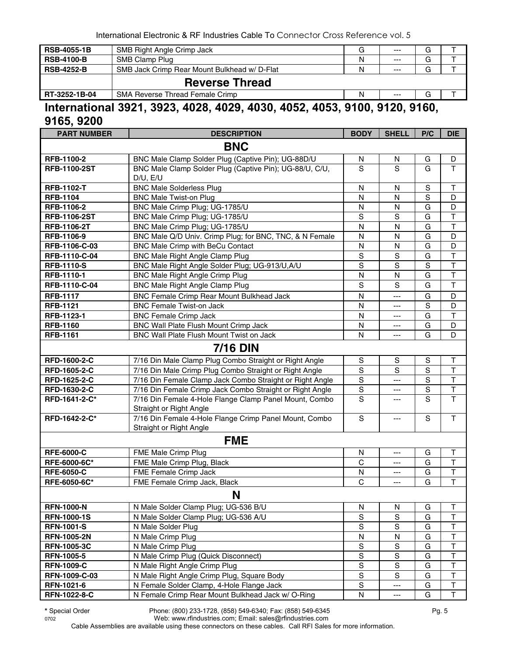| <b>RSB-4055-1B</b> | SMB Right Angle Crimp Jack                  | G | $---$     | G       |  |
|--------------------|---------------------------------------------|---|-----------|---------|--|
| <b>RSB-4100-B</b>  | SMB Clamp Plug                              | Ν | $---$     | G       |  |
| <b>RSB-4252-B</b>  | SMB Jack Crimp Rear Mount Bulkhead w/D-Flat | N | $---$     | G       |  |
|                    | <b>Reverse Thread</b>                       |   |           |         |  |
| RT-3252-1B-04      | SMA Reverse Thread Female Crimp             | Ν | $---$     | G       |  |
| .                  |                                             |   | - - - - - | - - - - |  |

#### **International 3921, 3923, 4028, 4029, 4030, 4052, 4053, 9100, 9120, 9160, 9165, 9200**

| <b>PART NUMBER</b>  | <b>DESCRIPTION</b>                                                                | <b>BODY</b>    | <b>SHELL</b>  | P/C         | <b>DIE</b>              |
|---------------------|-----------------------------------------------------------------------------------|----------------|---------------|-------------|-------------------------|
|                     | <b>BNC</b>                                                                        |                |               |             |                         |
| RFB-1100-2          | BNC Male Clamp Solder Plug (Captive Pin); UG-88D/U                                | N              | N             | G           | D                       |
| <b>RFB-1100-2ST</b> | BNC Male Clamp Solder Plug (Captive Pin); UG-88/U, C/U,<br>D/U, E/U               | S              | S             | G           | $\mathsf{T}$            |
| <b>RFB-1102-T</b>   | <b>BNC Male Solderless Plug</b>                                                   | N              | N             | $\mathbb S$ | $\top$                  |
| <b>RFB-1104</b>     | <b>BNC Male Twist-on Plug</b>                                                     | N              | N             | S           | D                       |
| RFB-1106-2          | BNC Male Crimp Plug; UG-1785/U                                                    | N              | N             | G           | D                       |
| <b>RFB-1106-2ST</b> | BNC Male Crimp Plug; UG-1785/U                                                    | $\overline{s}$ | S             | G           | $\overline{\mathsf{T}}$ |
| <b>RFB-1106-2T</b>  | BNC Male Crimp Plug; UG-1785/U                                                    | N              | N             | G           | $\overline{\mathsf{T}}$ |
| RFB-1106-9          | BNC Male Q/D Univ. Crimp Plug; for BNC, TNC, & N Female                           | N              | N             | G           | D                       |
| RFB-1106-C-03       | BNC Male Crimp with BeCu Contact                                                  | N              | N             | G           | D                       |
| RFB-1110-C-04       | <b>BNC Male Right Angle Clamp Plug</b>                                            | $\mathbf S$    | $\mathbf S$   | G           | $\top$                  |
| <b>RFB-1110-S</b>   | BNC Male Right Angle Solder Plug; UG-913/U,A/U                                    | S              | S             | S           | $\mathsf{T}$            |
| <b>RFB-1110-1</b>   | <b>BNC Male Right Angle Crimp Plug</b>                                            | N              | N             | G           | $\mathsf T$             |
| RFB-1110-C-04       | <b>BNC Male Right Angle Clamp Plug</b>                                            | S              | S             | G           | $\mathsf{T}$            |
| <b>RFB-1117</b>     | BNC Female Crimp Rear Mount Bulkhead Jack                                         | N              | ---           | G           | D                       |
| <b>RFB-1121</b>     | <b>BNC Female Twist-on Jack</b>                                                   | N              | ---           | $\mathbf S$ | D                       |
| RFB-1123-1          | <b>BNC Female Crimp Jack</b>                                                      | N              | ---           | G           | $\mathsf T$             |
| <b>RFB-1160</b>     | BNC Wall Plate Flush Mount Crimp Jack                                             | N              | ---           | G           | D                       |
| <b>RFB-1161</b>     | BNC Wall Plate Flush Mount Twist on Jack                                          | N              | ---           | G           | D                       |
|                     | <b>7/16 DIN</b>                                                                   |                |               |             |                         |
| RFD-1600-2-C        | 7/16 Din Male Clamp Plug Combo Straight or Right Angle                            | ${\mathsf S}$  | S             | $\mathbb S$ | Τ                       |
| RFD-1605-2-C        | 7/16 Din Male Crimp Plug Combo Straight or Right Angle                            | $\mathbf S$    | S             | $\mathbf S$ | $\top$                  |
| RFD-1625-2-C        | 7/16 Din Female Clamp Jack Combo Straight or Right Angle                          | $\mathbf S$    | ---           | $\mathbf S$ | $\overline{\mathsf{T}}$ |
| RFD-1630-2-C        | 7/16 Din Female Crimp Jack Combo Straight or Right Angle                          | $\mathbf S$    | ---           | $\mathbf S$ | $\top$                  |
| RFD-1641-2-C*       | 7/16 Din Female 4-Hole Flange Clamp Panel Mount, Combo                            | S              | ---           | S           | T                       |
|                     | Straight or Right Angle                                                           |                |               |             |                         |
| RFD-1642-2-C*       | 7/16 Din Female 4-Hole Flange Crimp Panel Mount, Combo<br>Straight or Right Angle | S              | ---           | S           | T                       |
|                     | <b>FME</b>                                                                        |                |               |             |                         |
| <b>RFE-6000-C</b>   | FME Male Crimp Plug                                                               | N              | ---           | G           | T                       |
| RFE-6000-6C*        | FME Male Crimp Plug, Black                                                        | C              | ---           | G           | $\mathsf T$             |
| <b>RFE-6050-C</b>   | FME Female Crimp Jack                                                             | N              | ---           | G           | $\top$                  |
| RFE-6050-6C*        | FME Female Crimp Jack, Black                                                      | C              | ---           | G           | $\mathsf{T}$            |
|                     | N                                                                                 |                |               |             |                         |
| <b>RFN-1000-N</b>   | N Male Solder Clamp Plug; UG-536 B/U                                              | N              | N             | G           | Τ                       |
| <b>RFN-1000-1S</b>  | N Male Solder Clamp Plug; UG-536 A/U                                              | $\mathbf S$    | S             | G           | $\sf T$                 |
| <b>RFN-1001-S</b>   | N Male Solder Plug                                                                | $\mathbf S$    | $\mathbf S$   | G           | $\sf T$                 |
| <b>RFN-1005-2N</b>  | N Male Crimp Plug                                                                 | N              | N             | G           | $\sf T$                 |
| <b>RFN-1005-3C</b>  | N Male Crimp Plug                                                                 | ${\sf S}$      | ${\mathbb S}$ | G           | $\sf T$                 |
| <b>RFN-1005-5</b>   | N Male Crimp Plug (Quick Disconnect)                                              | $\mathbf S$    | $\mathbf S$   | G           | $\sf T$                 |
| <b>RFN-1009-C</b>   | N Male Right Angle Crimp Plug                                                     | $\mathbf S$    | S             | G           | T                       |
| RFN-1009-C-03       | N Male Right Angle Crimp Plug, Square Body                                        | $\mathsf S$    | $\mathbf S$   | G           | $\top$                  |
| RFN-1021-6          | N Female Solder Clamp, 4-Hole Flange Jack                                         | $\mathbf S$    | ---           | G           | $\sf T$                 |
| RFN-1022-8-C        | N Female Crimp Rear Mount Bulkhead Jack w/ O-Ring                                 | ${\sf N}$      | ---           | G           | $\top$                  |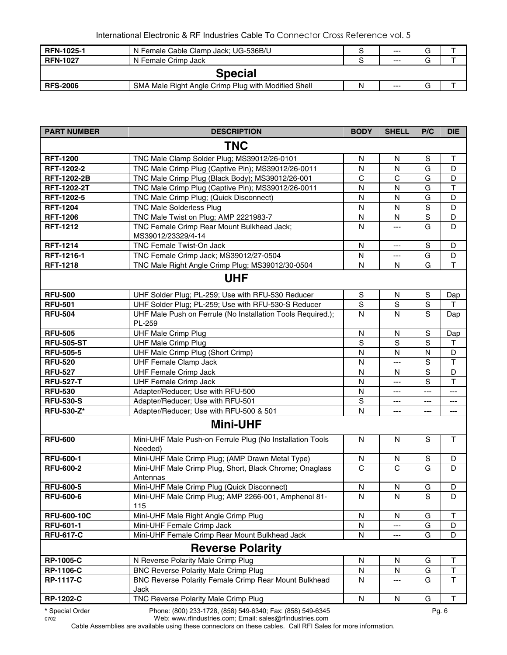| <b>RFN-1025-1</b> | N Female Cable Clamp Jack; UG-536B/U                |  | $---$ | G |  |  |  |  |
|-------------------|-----------------------------------------------------|--|-------|---|--|--|--|--|
| <b>RFN-1027</b>   | N Female Crimp Jack                                 |  | $--$  | G |  |  |  |  |
|                   | <b>Special</b>                                      |  |       |   |  |  |  |  |
| <b>RFS-2006</b>   | SMA Male Right Angle Crimp Plug with Modified Shell |  | $---$ | u |  |  |  |  |

| <b>PART NUMBER</b> | <b>DESCRIPTION</b>                                                    | <b>BODY</b>    | <b>SHELL</b>           | P/C            | <b>DIE</b>   |
|--------------------|-----------------------------------------------------------------------|----------------|------------------------|----------------|--------------|
|                    | <b>TNC</b>                                                            |                |                        |                |              |
| <b>RFT-1200</b>    | TNC Male Clamp Solder Plug; MS39012/26-0101                           | N              | N                      | S              | $\sf T$      |
| RFT-1202-2         | TNC Male Crimp Plug (Captive Pin); MS39012/26-0011                    | N              | N                      | G              | D            |
| <b>RFT-1202-2B</b> | TNC Male Crimp Plug (Black Body); MS39012/26-001                      | C              | C                      | G              | D            |
| RFT-1202-2T        | TNC Male Crimp Plug (Captive Pin); MS39012/26-0011                    | N              | N                      | G              | $\mathsf T$  |
| RFT-1202-5         | TNC Male Crimp Plug; (Quick Disconnect)                               | N              | N                      | G              | D            |
| <b>RFT-1204</b>    | <b>TNC Male Solderless Plug</b>                                       | N              | $\mathsf{N}$           | $\mathbf S$    | D            |
| <b>RFT-1206</b>    | TNC Male Twist on Plug; AMP 2221983-7                                 | N              | $\mathsf{N}$           | ${\mathsf S}$  | D            |
| <b>RFT-1212</b>    | TNC Female Crimp Rear Mount Bulkhead Jack;<br>MS39012/23329/4-14      | N              | $\qquad \qquad \cdots$ | G              | D            |
| <b>RFT-1214</b>    | TNC Female Twist-On Jack                                              | N              | $---$                  | S              | D            |
| RFT-1216-1         | TNC Female Crimp Jack; MS39012/27-0504                                | N              | ---                    | G              | D            |
| <b>RFT-1218</b>    | TNC Male Right Angle Crimp Plug; MS39012/30-0504                      | N              | N                      | G              | $\mathsf{T}$ |
|                    | <b>UHF</b>                                                            |                |                        |                |              |
| <b>RFU-500</b>     | UHF Solder Plug; PL-259; Use with RFU-530 Reducer                     | S              | N                      | S              | Dap          |
| <b>RFU-501</b>     | UHF Solder Plug; PL-259; Use with RFU-530-S Reducer                   | $\overline{s}$ | S                      | S              | т            |
| <b>RFU-504</b>     | UHF Male Push on Ferrule (No Installation Tools Required.);<br>PL-259 | $\mathsf{N}$   | N                      | S              | Dap          |
| <b>RFU-505</b>     | <b>UHF Male Crimp Plug</b>                                            | $\mathsf{N}$   | N                      | S              | Dap          |
| <b>RFU-505-ST</b>  | <b>UHF Male Crimp Plug</b>                                            | S              | S                      | S              | Τ            |
| <b>RFU-505-5</b>   | UHF Male Crimp Plug (Short Crimp)                                     | N              | N                      | N              | D            |
| <b>RFU-520</b>     | <b>UHF Female Clamp Jack</b>                                          | N              | ---                    | S              | $\mathsf{T}$ |
| <b>RFU-527</b>     | <b>UHF Female Crimp Jack</b>                                          | N              | N                      | S              | D            |
| <b>RFU-527-T</b>   | <b>UHF Female Crimp Jack</b>                                          | N              | ---                    | S              | $\mathsf T$  |
| <b>RFU-530</b>     | Adapter/Reducer; Use with RFU-500                                     | N              | ---                    | ---            | ---          |
| <b>RFU-530-S</b>   | Adapter/Reducer; Use with RFU-501                                     | S              | $---$                  | ---            | ---          |
| <b>RFU-530-Z*</b>  | Adapter/Reducer; Use with RFU-500 & 501                               | N              | ---                    | ---            | ---          |
|                    | <b>Mini-UHF</b>                                                       |                |                        |                |              |
| <b>RFU-600</b>     | Mini-UHF Male Push-on Ferrule Plug (No Installation Tools<br>Needed)  | N              | N                      | S              | T            |
| <b>RFU-600-1</b>   | Mini-UHF Male Crimp Plug; (AMP Drawn Metal Type)                      | N              | N                      | $\mathbb S$    | D            |
| <b>RFU-600-2</b>   | Mini-UHF Male Crimp Plug, Short, Black Chrome; Onaglass<br>Antennas   | $\mathsf{C}$   | C                      | G              | D            |
| <b>RFU-600-5</b>   | Mini-UHF Male Crimp Plug (Quick Disconnect)                           | N              | N                      | G              | D            |
| <b>RFU-600-6</b>   | Mini-UHF Male Crimp Plug; AMP 2266-001, Amphenol 81-<br>115           | $\overline{N}$ | $\overline{N}$         | $\overline{s}$ | D            |
| <b>RFU-600-10C</b> | Mini-UHF Male Right Angle Crimp Plug                                  | N              | N                      | G              | $\mathsf T$  |
| <b>RFU-601-1</b>   | Mini-UHF Female Crimp Jack                                            | N              | ---                    | G              | D            |
| <b>RFU-617-C</b>   | Mini-UHF Female Crimp Rear Mount Bulkhead Jack                        | N              | ---                    | G              | D            |
|                    | <b>Reverse Polarity</b>                                               |                |                        |                |              |
| <b>RP-1005-C</b>   | N Reverse Polarity Male Crimp Plug                                    | N              | N                      | G              | $\sf T$      |
| <b>RP-1106-C</b>   | <b>BNC Reverse Polarity Male Crimp Plug</b>                           | N              | N                      | G              | $\mathsf T$  |
| <b>RP-1117-C</b>   | BNC Reverse Polarity Female Crimp Rear Mount Bulkhead<br>Jack         | N              | ---                    | G              | $\mathsf T$  |
| <b>RP-1202-C</b>   | TNC Reverse Polarity Male Crimp Plug                                  | ${\sf N}$      | N                      | G              | T            |
| * Special Order    | Phone: (800) 233-1728, (858) 549-6340; Fax: (858) 549-6345            |                |                        |                | Pg. 6        |

0702 Web: www.rfindustries.com; Email: sales@rfindustries.com

Cable Assemblies are available using these connectors on these cables. Call RFI Sales for more information.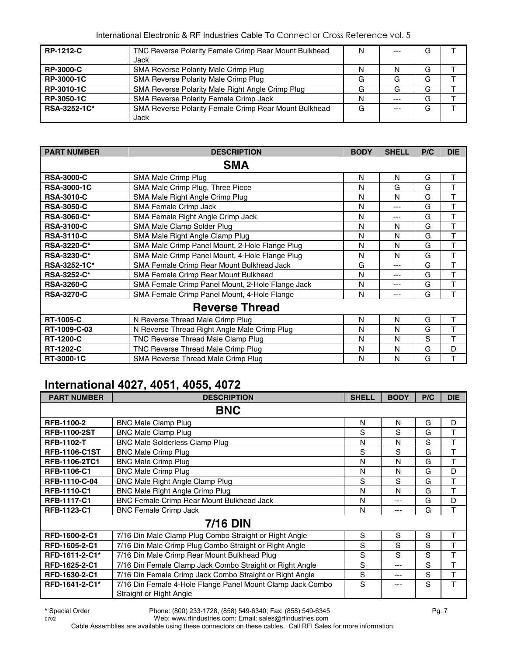| <b>RP-1212-C</b>  | TNC Reverse Polarity Female Crimp Rear Mount Bulkhead | N | $--$  | G |  |
|-------------------|-------------------------------------------------------|---|-------|---|--|
|                   | Jack                                                  |   |       |   |  |
| <b>RP-3000-C</b>  | SMA Reverse Polarity Male Crimp Plug                  | N | N     | G |  |
| <b>RP-3000-1C</b> | SMA Reverse Polarity Male Crimp Plug                  | G | G     | G |  |
| RP-3010-1C        | SMA Reverse Polarity Male Right Angle Crimp Plug      | G | G     | G |  |
| RP-3050-1C        | SMA Reverse Polarity Female Crimp Jack                | N | $---$ | G |  |
| RSA-3252-1C*      | SMA Reverse Polarity Female Crimp Rear Mount Bulkhead | G | $---$ | G |  |
|                   | Jack                                                  |   |       |   |  |

| <b>PART NUMBER</b> | <b>DESCRIPTION</b>                               | <b>BODY</b> | <b>SHELL</b> | P/C | <b>DIE</b> |
|--------------------|--------------------------------------------------|-------------|--------------|-----|------------|
|                    | <b>SMA</b>                                       |             |              |     |            |
| <b>RSA-3000-C</b>  | SMA Male Crimp Plug                              | N           | N            | G   | Т          |
| <b>RSA-3000-1C</b> | SMA Male Crimp Plug, Three Piece                 | N           | G            | G   | т          |
| <b>RSA-3010-C</b>  | SMA Male Right Angle Crimp Plug                  | N           | N            | G   | T          |
| <b>RSA-3050-C</b>  | SMA Female Crimp Jack                            | N           | ---          | G   | T          |
| <b>RSA-3060-C*</b> | SMA Female Right Angle Crimp Jack                | N           | ---          | G   | T          |
| <b>RSA-3100-C</b>  | SMA Male Clamp Solder Plug                       | N           | N            | G   | Т          |
| <b>RSA-3110-C</b>  | SMA Male Right Angle Clamp Plug                  | N           | N            | G   | T          |
| <b>RSA-3220-C*</b> | SMA Male Crimp Panel Mount, 2-Hole Flange Plug   | N           | N            | G   | T          |
| <b>RSA-3230-C*</b> | SMA Male Crimp Panel Mount, 4-Hole Flange Plug   | N           | N            | G   | Т          |
| RSA-3252-1C*       | SMA Female Crimp Rear Mount Bulkhead Jack        | G           | ---          | G   | T          |
| <b>RSA-3252-C*</b> | SMA Female Crimp Rear Mount Bulkhead             | N           | ---          | G   | T          |
| <b>RSA-3260-C</b>  | SMA Female Crimp Panel Mount, 2-Hole Flange Jack | N           |              | G   | T          |
| <b>RSA-3270-C</b>  | SMA Female Crimp Panel Mount, 4-Hole Flange      | N           | ---          | G   | т          |
|                    | <b>Reverse Thread</b>                            |             |              |     |            |
| <b>RT-1005-C</b>   | N Reverse Thread Male Crimp Plug                 | N           | N            | G   | Т          |
| RT-1009-C-03       | N Reverse Thread Right Angle Male Crimp Plug     | N           | N            | G   | T          |
| <b>RT-1200-C</b>   | TNC Reverse Thread Male Clamp Plug               | N           | N            | S   | T          |
| <b>RT-1202-C</b>   | TNC Reverse Thread Male Crimp Plug               | N           | N            | G   | D          |
| RT-3000-1C         | SMA Reverse Thread Male Crimp Plug               | N           | N            | G   | т          |

## **International 4027, 4051, 4055, 4072**

| <b>PART NUMBER</b>   | <b>DESCRIPTION</b>                                                                    | <b>SHELL</b> | <b>BODY</b> | P/C | <b>DIE</b> |
|----------------------|---------------------------------------------------------------------------------------|--------------|-------------|-----|------------|
|                      | <b>BNC</b>                                                                            |              |             |     |            |
| <b>RFB-1100-2</b>    | <b>BNC Male Clamp Plug</b>                                                            | N            | N           | G   | D          |
| <b>RFB-1100-2ST</b>  | <b>BNC Male Clamp Plug</b>                                                            | S            | S           | G   | T          |
| <b>RFB-1102-T</b>    | <b>BNC Male Solderless Clamp Plug</b>                                                 | N            | N           | S   | Т          |
| <b>RFB-1106-C1ST</b> | <b>BNC Male Crimp Plug</b>                                                            | S            | S           | G   | т          |
| RFB-1106-2TC1        | <b>BNC Male Crimp Plug</b>                                                            | N            | N           | G   | т          |
| RFB-1106-C1          | <b>BNC Male Crimp Plug</b>                                                            | N            | N           | G   | D          |
| RFB-1110-C-04        | <b>BNC Male Right Angle Clamp Plug</b>                                                | S            | S           | G   | Т          |
| <b>RFB-1110-C1</b>   | <b>BNC Male Right Angle Crimp Plug</b>                                                | N            | N           | G   | т          |
| <b>RFB-1117-C1</b>   | BNC Female Crimp Rear Mount Bulkhead Jack                                             | N            | ---         | G   | D          |
| RFB-1123-C1          | <b>BNC Female Crimp Jack</b>                                                          | N            | ---         | G   | т          |
|                      | <b>7/16 DIN</b>                                                                       |              |             |     |            |
| RFD-1600-2-C1        | 7/16 Din Male Clamp Plug Combo Straight or Right Angle                                | S            | S           | S   | т          |
| RFD-1605-2-C1        | 7/16 Din Male Crimp Plug Combo Straight or Right Angle                                | S            | S           | S   | т          |
| RFD-1611-2-C1*       | 7/16 Din Male Crimp Rear Mount Bulkhead Plug                                          | S            | S           | S   | т          |
| RFD-1625-2-C1        | 7/16 Din Female Clamp Jack Combo Straight or Right Angle                              | S            | $--$        | S   | T          |
| RFD-1630-2-C1        | 7/16 Din Female Crimp Jack Combo Straight or Right Angle                              | S            | ---         | S   | T          |
| RFD-1641-2-C1*       | 7/16 Din Female 4-Hole Flange Panel Mount Clamp Jack Combo<br>Straight or Right Angle | S            |             | S   | T          |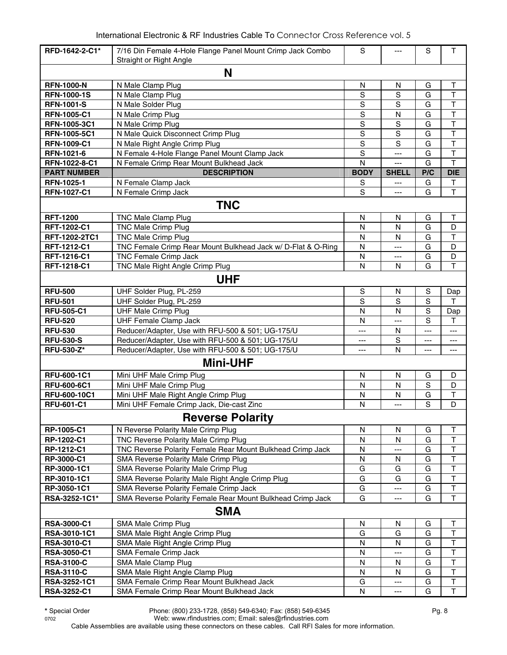| RFD-1642-2-C1*     | 7/16 Din Female 4-Hole Flange Panel Mount Crimp Jack Combo<br>Straight or Right Angle | $\mathbf S$    |                | S                    | $\mathsf T$             |  |  |  |  |
|--------------------|---------------------------------------------------------------------------------------|----------------|----------------|----------------------|-------------------------|--|--|--|--|
| N                  |                                                                                       |                |                |                      |                         |  |  |  |  |
| <b>RFN-1000-N</b>  | N Male Clamp Plug                                                                     | $\mathsf{N}$   | $\mathsf{N}$   | G                    | $\top$                  |  |  |  |  |
| <b>RFN-1000-1S</b> | N Male Clamp Plug                                                                     | S              | S              | G                    | $\top$                  |  |  |  |  |
| <b>RFN-1001-S</b>  | N Male Solder Plug                                                                    | $\mathbf S$    | S              | G                    | T                       |  |  |  |  |
| <b>RFN-1005-C1</b> | N Male Crimp Plug                                                                     | $\mathbf S$    | N              | G                    | $\mathsf T$             |  |  |  |  |
| RFN-1005-3C1       | N Male Crimp Plug                                                                     | $\overline{S}$ | $\overline{s}$ | G                    | $\overline{\mathsf{T}}$ |  |  |  |  |
| RFN-1005-5C1       | N Male Quick Disconnect Crimp Plug                                                    | $\mathbf S$    | S              | G                    | $\top$                  |  |  |  |  |
| RFN-1009-C1        | N Male Right Angle Crimp Plug                                                         | $\mathbf S$    | S              | G                    | T                       |  |  |  |  |
| RFN-1021-6         | N Female 4-Hole Flange Panel Mount Clamp Jack                                         | $\mathbf S$    | ---            | G                    | T                       |  |  |  |  |
| RFN-1022-8-C1      | N Female Crimp Rear Mount Bulkhead Jack                                               | N              | $---$          | G                    | T                       |  |  |  |  |
| <b>PART NUMBER</b> | <b>DESCRIPTION</b>                                                                    | <b>BODY</b>    | <b>SHELL</b>   | P/C                  | <b>DIE</b>              |  |  |  |  |
| RFN-1025-1         | N Female Clamp Jack                                                                   | S              | ---            | G                    | $\top$                  |  |  |  |  |
| <b>RFN-1027-C1</b> | N Female Crimp Jack                                                                   | S              | $---$          | G                    | T                       |  |  |  |  |
|                    | <b>TNC</b>                                                                            |                |                |                      |                         |  |  |  |  |
| <b>RFT-1200</b>    | TNC Male Clamp Plug                                                                   | N              | N              | G                    | Τ                       |  |  |  |  |
| RFT-1202-C1        | <b>TNC Male Crimp Plug</b>                                                            | N              | N              | G                    | D                       |  |  |  |  |
| RFT-1202-2TC1      | <b>TNC Male Crimp Plug</b>                                                            | N              | N              | G                    | T                       |  |  |  |  |
| RFT-1212-C1        | TNC Female Crimp Rear Mount Bulkhead Jack w/ D-Flat & O-Ring                          | N              | $\overline{a}$ | G                    | D                       |  |  |  |  |
| RFT-1216-C1        | TNC Female Crimp Jack                                                                 | N              | ---            | G                    | D                       |  |  |  |  |
| RFT-1218-C1        | TNC Male Right Angle Crimp Plug                                                       | N              | N              | G                    | $\mathsf T$             |  |  |  |  |
|                    | <b>UHF</b>                                                                            |                |                |                      |                         |  |  |  |  |
| <b>RFU-500</b>     | UHF Solder Plug, PL-259                                                               | $\mathbb S$    | N              | $\mathbf S$          | Dap                     |  |  |  |  |
| <b>RFU-501</b>     | UHF Solder Plug, PL-259                                                               | $\overline{s}$ | $\overline{s}$ | $\overline{s}$       | т                       |  |  |  |  |
| <b>RFU-505-C1</b>  | <b>UHF Male Crimp Plug</b>                                                            | ${\sf N}$      | N              | $\mathbf S$          | Dap                     |  |  |  |  |
| <b>RFU-520</b>     | <b>UHF Female Clamp Jack</b>                                                          | N              | ---            | S                    | T                       |  |  |  |  |
| <b>RFU-530</b>     | Reducer/Adapter, Use with RFU-500 & 501; UG-175/U                                     | $---$          | N              | $\scriptstyle\cdots$ | ---                     |  |  |  |  |
| <b>RFU-530-S</b>   | Reducer/Adapter, Use with RFU-500 & 501; UG-175/U                                     | ---            | $\mathbf S$    | ---                  | ---                     |  |  |  |  |
| <b>RFU-530-Z*</b>  | Reducer/Adapter, Use with RFU-500 & 501; UG-175/U                                     | ---            | N              | $---$                | $---$                   |  |  |  |  |
|                    | <b>Mini-UHF</b>                                                                       |                |                |                      |                         |  |  |  |  |
| <b>RFU-600-1C1</b> | Mini UHF Male Crimp Plug                                                              | N              | N              | G                    | D                       |  |  |  |  |
| <b>RFU-600-6C1</b> | Mini UHF Male Crimp Plug                                                              | N              | N              | $\mathbf S$          | D                       |  |  |  |  |
| RFU-600-10C1       | Mini UHF Male Right Angle Crimp Plug                                                  | N              | N              | G                    | T                       |  |  |  |  |
| <b>RFU-601-C1</b>  | Mini UHF Female Crimp Jack, Die-cast Zinc                                             | N              | $---$          | S                    | D                       |  |  |  |  |
|                    | <b>Reverse Polarity</b>                                                               |                |                |                      |                         |  |  |  |  |
| RP-1005-C1         | N Reverse Polarity Male Crimp Plug                                                    | N              | N              | G                    | T                       |  |  |  |  |
| RP-1202-C1         | TNC Reverse Polarity Male Crimp Plug                                                  | N              | N              | G                    | $\sf T$                 |  |  |  |  |
| RP-1212-C1         | TNC Reverse Polarity Female Rear Mount Bulkhead Crimp Jack                            | N              | ---            | G                    | $\sf T$                 |  |  |  |  |
| RP-3000-C1         | SMA Reverse Polarity Male Crimp Plug                                                  | N              | N              | G                    | $\mathsf T$             |  |  |  |  |
| RP-3000-1C1        | SMA Reverse Polarity Male Crimp Plug                                                  | G              | G              | G                    | $\overline{\mathsf{T}}$ |  |  |  |  |
| RP-3010-1C1        | SMA Reverse Polarity Male Right Angle Crimp Plug                                      | G              | G              | G                    | T                       |  |  |  |  |
| RP-3050-1C1        | SMA Reverse Polarity Female Crimp Jack                                                | G              | ---            | G                    | $\overline{\mathsf{T}}$ |  |  |  |  |
| RSA-3252-1C1*      | SMA Reverse Polarity Female Rear Mount Bulkhead Crimp Jack                            | G              |                | G                    | T                       |  |  |  |  |
|                    | <b>SMA</b>                                                                            |                |                |                      |                         |  |  |  |  |
| <b>RSA-3000-C1</b> | SMA Male Crimp Plug                                                                   | N              | N              | G                    | T                       |  |  |  |  |
| RSA-3010-1C1       | SMA Male Right Angle Crimp Plug                                                       | G              | G              | G                    | Τ                       |  |  |  |  |
| <b>RSA-3010-C1</b> | SMA Male Right Angle Crimp Plug                                                       | ${\sf N}$      | ${\sf N}$      | G                    | T                       |  |  |  |  |
| <b>RSA-3050-C1</b> | SMA Female Crimp Jack                                                                 | N              |                | G                    | T                       |  |  |  |  |
| <b>RSA-3100-C</b>  | SMA Male Clamp Plug                                                                   | N              | N              | G                    | T                       |  |  |  |  |
| <b>RSA-3110-C</b>  | SMA Male Right Angle Clamp Plug                                                       | N              | N              | G                    | T                       |  |  |  |  |
| RSA-3252-1C1       | SMA Female Crimp Rear Mount Bulkhead Jack                                             | G              | ---            | G                    | $\sf T$                 |  |  |  |  |
| RSA-3252-C1        | SMA Female Crimp Rear Mount Bulkhead Jack                                             | N              | ---            | G                    | $\mathsf T$             |  |  |  |  |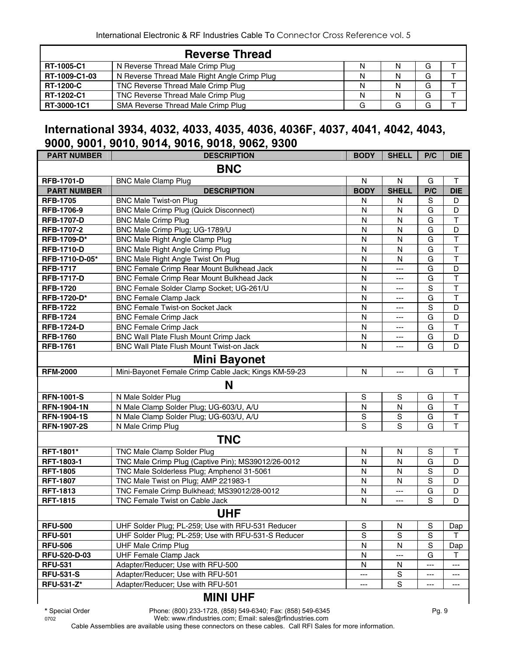|                  | <b>Reverse Thread</b>                        |   |   |  |
|------------------|----------------------------------------------|---|---|--|
| RT-1005-C1       | N Reverse Thread Male Crimp Plug             | N | G |  |
| RT-1009-C1-03    | N Reverse Thread Male Right Angle Crimp Plug | N | G |  |
| <b>RT-1200-C</b> | TNC Reverse Thread Male Crimp Plug           | N | G |  |
| RT-1202-C1       | TNC Reverse Thread Male Crimp Plug           | N | G |  |
| RT-3000-1C1      | SMA Reverse Thread Male Crimp Plug           |   | G |  |

#### **International 3934, 4032, 4033, 4035, 4036, 4036F, 4037, 4041, 4042, 4043, 9000, 9001, 9010, 9014, 9016, 9018, 9062, 9300**

| <b>PART NUMBER</b>  | <b>DESCRIPTION</b>                                   | <b>BODY</b>  | <b>SHELL</b>   | P/C            | <b>DIE</b>              |  |  |  |
|---------------------|------------------------------------------------------|--------------|----------------|----------------|-------------------------|--|--|--|
| <b>BNC</b>          |                                                      |              |                |                |                         |  |  |  |
| <b>RFB-1701-D</b>   | <b>BNC Male Clamp Plug</b>                           | $\mathsf{N}$ | ${\sf N}$      | G              | $\mathsf T$             |  |  |  |
| <b>PART NUMBER</b>  | <b>DESCRIPTION</b>                                   | <b>BODY</b>  | <b>SHELL</b>   | P/C            | <b>DIE</b>              |  |  |  |
| <b>RFB-1705</b>     | <b>BNC Male Twist-on Plug</b>                        | N            | N              | S              | D                       |  |  |  |
| RFB-1706-9          | <b>BNC Male Crimp Plug (Quick Disconnect)</b>        | N            | N              | G              | D                       |  |  |  |
| <b>RFB-1707-D</b>   | <b>BNC Male Crimp Plug</b>                           | N            | N              | G              | T                       |  |  |  |
| RFB-1707-2          | BNC Male Crimp Plug; UG-1789/U                       | $\mathsf{N}$ | N              | G              | D                       |  |  |  |
| RFB-1709-D*         | <b>BNC Male Right Angle Clamp Plug</b>               | N            | N              | G              | $\overline{\mathsf{T}}$ |  |  |  |
| <b>RFB-1710-D</b>   | <b>BNC Male Right Angle Crimp Plug</b>               | N            | $\mathsf{N}$   | G              | T                       |  |  |  |
| RFB-1710-D-05*      | BNC Male Right Angle Twist On Plug                   | $\mathsf{N}$ | N              | G              | $\overline{\mathsf{T}}$ |  |  |  |
| <b>RFB-1717</b>     | BNC Female Crimp Rear Mount Bulkhead Jack            | N            | $\overline{a}$ | G              | $\overline{D}$          |  |  |  |
| <b>RFB-1717-D</b>   | BNC Female Crimp Rear Mount Bulkhead Jack            | N            | ---            | G              | $\overline{\mathsf{T}}$ |  |  |  |
| <b>RFB-1720</b>     | BNC Female Solder Clamp Socket; UG-261/U             | N            | $---$          | S              | $\overline{\mathsf{T}}$ |  |  |  |
| RFB-1720-D*         | <b>BNC Female Clamp Jack</b>                         | N            | $---$          | G              | $\overline{\mathsf{T}}$ |  |  |  |
| <b>RFB-1722</b>     | <b>BNC Female Twist-on Socket Jack</b>               | N            | $---$          | S              | D                       |  |  |  |
| <b>RFB-1724</b>     | <b>BNC Female Crimp Jack</b>                         | N            | $---$          | G              | D                       |  |  |  |
| <b>RFB-1724-D</b>   | <b>BNC Female Crimp Jack</b>                         | N            | ---            | G              | T                       |  |  |  |
| <b>RFB-1760</b>     | BNC Wall Plate Flush Mount Crimp Jack                | N            | ---            | G              | D                       |  |  |  |
| <b>RFB-1761</b>     | BNC Wall Plate Flush Mount Twist-on Jack             | N            | ---            | G              | D                       |  |  |  |
| <b>Mini Bayonet</b> |                                                      |              |                |                |                         |  |  |  |
| <b>RFM-2000</b>     | Mini-Bayonet Female Crimp Cable Jack; Kings KM-59-23 | N            | $\overline{a}$ | G              | Τ                       |  |  |  |
|                     | N                                                    |              |                |                |                         |  |  |  |
| <b>RFN-1001-S</b>   | N Male Solder Plug                                   | $\mathbb S$  | S              | G              | Т                       |  |  |  |
| <b>RFN-1904-1N</b>  | N Male Clamp Solder Plug; UG-603/U, A/U              | N            | N              | G              | $\overline{\mathsf{T}}$ |  |  |  |
| <b>RFN-1904-1S</b>  | N Male Clamp Solder Plug; UG-603/U, A/U              | S            | $\mathbf S$    | G              | $\overline{\mathsf{T}}$ |  |  |  |
| <b>RFN-1907-2S</b>  | N Male Crimp Plug                                    | S            | S              | G              | T                       |  |  |  |
|                     | <b>TNC</b>                                           |              |                |                |                         |  |  |  |
| RFT-1801*           | TNC Male Clamp Solder Plug                           | N            | N              | $\mathbb S$    | Т                       |  |  |  |
| RFT-1803-1          | TNC Male Crimp Plug (Captive Pin); MS39012/26-0012   | N            | $\mathsf{N}$   | G              | D                       |  |  |  |
| <b>RFT-1805</b>     | TNC Male Solderless Plug; Amphenol 31-5061           | N            | N              | $\overline{s}$ | D                       |  |  |  |
| <b>RFT-1807</b>     | TNC Male Twist on Plug; AMP 221983-1                 | N            | N              | $\mathbf S$    | D                       |  |  |  |
| <b>RFT-1813</b>     | TNC Female Crimp Bulkhead; MS39012/28-0012           | N            | ---            | G              | D                       |  |  |  |
| <b>RFT-1815</b>     | TNC Female Twist on Cable Jack                       | N            | ---            | S              | D                       |  |  |  |
|                     | <b>UHF</b>                                           |              |                |                |                         |  |  |  |
| <b>RFU-500</b>      | UHF Solder Plug; PL-259; Use with RFU-531 Reducer    | S            | N              | $\mathbb S$    | Dap                     |  |  |  |
| <b>RFU-501</b>      | UHF Solder Plug; PL-259; Use with RFU-531-S Reducer  | $\mathbf S$  | $\mathbf S$    | $\mathbf S$    | т                       |  |  |  |
| <b>RFU-506</b>      | <b>UHF Male Crimp Plug</b>                           | N            | N              | $\mathbf S$    | Dap                     |  |  |  |
| RFU-520-D-03        | <b>UHF Female Clamp Jack</b>                         | N            |                | G              | т                       |  |  |  |
| <b>RFU-531</b>      | Adapter/Reducer; Use with RFU-500                    | N            | N              | ---            | ---                     |  |  |  |
| <b>RFU-531-S</b>    | Adapter/Reducer; Use with RFU-501                    | ---          | $\mathbb S$    | ---            | ---                     |  |  |  |
| <b>RFU-531-Z*</b>   | Adapter/Reducer; Use with RFU-501                    | ---          | $\mathbf S$    | ---            | ---                     |  |  |  |
|                     | <b>MINI UHF</b>                                      |              |                |                |                         |  |  |  |

**\*** Special Order Phone: (800) 233-1728, (858) 549-6340; Fax: (858) 549-6345 Pg. 9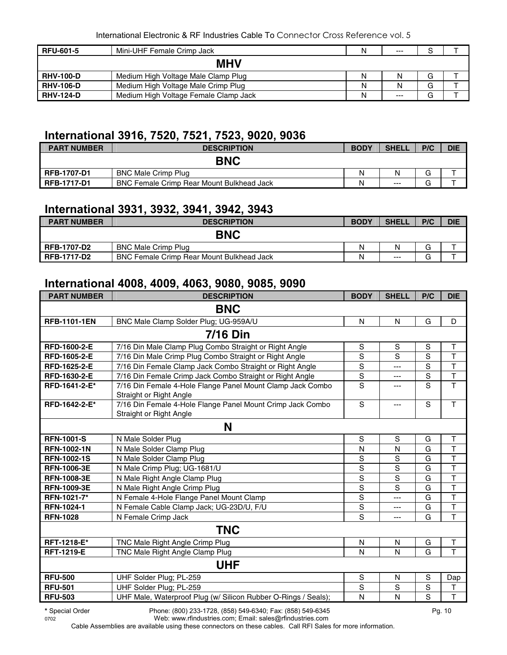| <b>RFU-601-5</b> | Mini-UHF Female Crimp Jack            | N | $---$ | c |  |  |  |  |
|------------------|---------------------------------------|---|-------|---|--|--|--|--|
| <b>MHV</b>       |                                       |   |       |   |  |  |  |  |
| <b>RHV-100-D</b> | Medium High Voltage Male Clamp Plug   | Ν |       | G |  |  |  |  |
| <b>RHV-106-D</b> | Medium High Voltage Male Crimp Plug   | N |       | G |  |  |  |  |
| <b>RHV-124-D</b> | Medium High Voltage Female Clamp Jack | N | $---$ | G |  |  |  |  |

# **International 3916, 7520, 7521, 7523, 9020, 9036**

| <b>PART NUMBER</b> | <b>DESCRIPTION</b>                        | <b>BODY</b> | <b>SHELL</b> | P/C | <b>DIE</b> |
|--------------------|-------------------------------------------|-------------|--------------|-----|------------|
|                    | <b>BNC</b>                                |             |              |     |            |
| <b>RFB-1707-D1</b> | <b>BNC Male Crimp Plug</b>                | Ν           | Ν            | G   |            |
| <b>RFB-1717-D1</b> | BNC Female Crimp Rear Mount Bulkhead Jack | N           | $---$        | J   |            |

#### **International 3931, 3932, 3941, 3942, 3943**

| <b>PART NUMBER</b> | <b>DESCRIPTION</b>                               | <b>BODY</b> | <b>SHELL</b> | P/C         | <b>DIE</b> |
|--------------------|--------------------------------------------------|-------------|--------------|-------------|------------|
|                    | <b>BNC</b>                                       |             |              |             |            |
| <b>RFB-1707-D2</b> | <b>BNC Male Crimp Plug</b>                       | N           | N            | ⌒<br>G      |            |
| <b>RFB-1717-D2</b> | <b>BNC Female Crimp Rear Mount Bulkhead Jack</b> | N           | $---$        | $\sim$<br>ت |            |

# **International 4008, 4009, 4063, 9080, 9085, 9090**

| <b>PART NUMBER</b>  | <b>DESCRIPTION</b>                                                                    | <b>BODY</b>    | <b>SHELL</b>   | P/C           | <b>DIE</b>              |  |  |  |  |
|---------------------|---------------------------------------------------------------------------------------|----------------|----------------|---------------|-------------------------|--|--|--|--|
| <b>BNC</b>          |                                                                                       |                |                |               |                         |  |  |  |  |
| <b>RFB-1101-1EN</b> | BNC Male Clamp Solder Plug; UG-959A/U                                                 | N              | $\mathsf{N}$   | G             | D                       |  |  |  |  |
|                     | 7/16 Din                                                                              |                |                |               |                         |  |  |  |  |
| RFD-1600-2-E        | 7/16 Din Male Clamp Plug Combo Straight or Right Angle                                | ${\mathsf S}$  | $\mathbf S$    | S             | $\top$                  |  |  |  |  |
| RFD-1605-2-E        | 7/16 Din Male Crimp Plug Combo Straight or Right Angle                                | $\mathbf S$    | S              | S             | $\mathsf T$             |  |  |  |  |
| RFD-1625-2-E        | 7/16 Din Female Clamp Jack Combo Straight or Right Angle                              | S              | $\overline{a}$ | S             | $\overline{\mathsf{T}}$ |  |  |  |  |
| RFD-1630-2-E        | 7/16 Din Female Crimp Jack Combo Straight or Right Angle                              | S              | ---            | S             | T                       |  |  |  |  |
| RFD-1641-2-E*       | 7/16 Din Female 4-Hole Flange Panel Mount Clamp Jack Combo<br>Straight or Right Angle | $\overline{s}$ | ---            | S             | $\overline{\mathsf{T}}$ |  |  |  |  |
| RFD-1642-2-E*       | 7/16 Din Female 4-Hole Flange Panel Mount Crimp Jack Combo<br>Straight or Right Angle | S              | $---$          | S             | T                       |  |  |  |  |
| N                   |                                                                                       |                |                |               |                         |  |  |  |  |
| <b>RFN-1001-S</b>   | N Male Solder Plug                                                                    | S              | S              | G             | Т                       |  |  |  |  |
| <b>RFN-1002-1N</b>  | N Male Solder Clamp Plug                                                              | N              | N              | G             | $\overline{\mathsf{T}}$ |  |  |  |  |
| <b>RFN-1002-1S</b>  | N Male Solder Clamp Plug                                                              | S              | S              | G             | T                       |  |  |  |  |
| <b>RFN-1006-3E</b>  | N Male Crimp Plug; UG-1681/U                                                          | $\overline{s}$ | $\overline{s}$ | G             | $\overline{\mathsf{T}}$ |  |  |  |  |
| <b>RFN-1008-3E</b>  | N Male Right Angle Clamp Plug                                                         | $\overline{s}$ | $\mathbf S$    | G             | $\overline{\mathsf{T}}$ |  |  |  |  |
| <b>RFN-1009-3E</b>  | N Male Right Angle Crimp Plug                                                         | $\overline{s}$ | S              | G             | $\overline{\mathsf{T}}$ |  |  |  |  |
| RFN-1021-7*         | N Female 4-Hole Flange Panel Mount Clamp                                              | S              | ---            | G             | T                       |  |  |  |  |
| RFN-1024-1          | N Female Cable Clamp Jack; UG-23D/U, F/U                                              | $\overline{s}$ | $---$          | G             | $\overline{\mathsf{T}}$ |  |  |  |  |
| <b>RFN-1028</b>     | N Female Crimp Jack                                                                   | S              | $\overline{a}$ | G             | T                       |  |  |  |  |
|                     | <b>TNC</b>                                                                            |                |                |               |                         |  |  |  |  |
| RFT-1218-E*         | TNC Male Right Angle Crimp Plug                                                       | ${\sf N}$      | N              | G             | $\mathsf T$             |  |  |  |  |
| <b>RFT-1219-E</b>   | TNC Male Right Angle Clamp Plug                                                       | N              | N              | G             | T                       |  |  |  |  |
|                     | <b>UHF</b>                                                                            |                |                |               |                         |  |  |  |  |
| <b>RFU-500</b>      | UHF Solder Plug; PL-259                                                               | $\mathbf S$    | N              | ${\mathbb S}$ | Dap                     |  |  |  |  |
| <b>RFU-501</b>      | UHF Solder Plug; PL-259                                                               | S              | S              | $\mathbf S$   | Τ                       |  |  |  |  |
| <b>RFU-503</b>      | UHF Male, Waterproof Plug (w/ Silicon Rubber O-Rings / Seals);                        | N              | N              | S             | T                       |  |  |  |  |
| * Special Order     | Phone: (800) 233-1728, (858) 549-6340; Fax: (858) 549-6345                            |                |                |               | Pg. 10                  |  |  |  |  |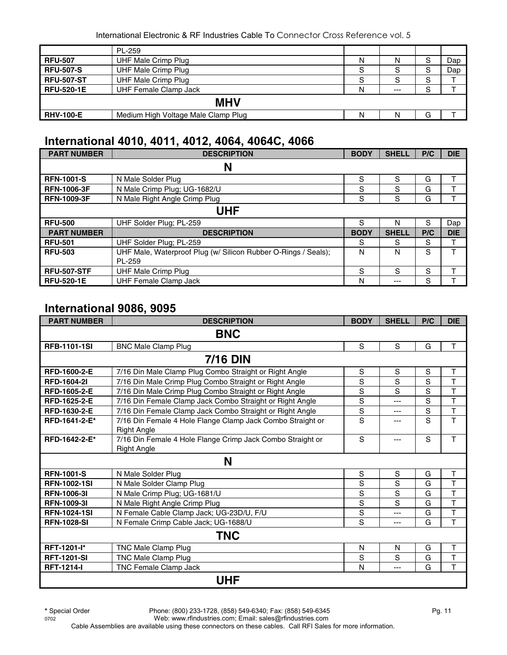|                   | PL-259                              |   |        |   |     |  |  |  |
|-------------------|-------------------------------------|---|--------|---|-----|--|--|--|
| <b>RFU-507</b>    | UHF Male Crimp Plug                 | N | N      | S | Dap |  |  |  |
| <b>RFU-507-S</b>  | <b>UHF Male Crimp Plug</b>          | S | O      | S | Dap |  |  |  |
| <b>RFU-507-ST</b> | <b>UHF Male Crimp Plug</b>          | S | ົ<br>o | S |     |  |  |  |
| <b>RFU-520-1E</b> | UHF Female Clamp Jack               | N | $---$  | S |     |  |  |  |
| <b>MHV</b>        |                                     |   |        |   |     |  |  |  |
| <b>RHV-100-E</b>  | Medium High Voltage Male Clamp Plug | Ν |        | G |     |  |  |  |

#### **International 4010, 4011, 4012, 4064, 4064C, 4066**

| <b>PART NUMBER</b> | <b>DESCRIPTION</b>                                             | <b>BODY</b> | <b>SHELL</b> | P/C | <b>DIE</b> |  |  |  |
|--------------------|----------------------------------------------------------------|-------------|--------------|-----|------------|--|--|--|
|                    | N                                                              |             |              |     |            |  |  |  |
| <b>RFN-1001-S</b>  | N Male Solder Plug                                             | S           | S            | G   |            |  |  |  |
| <b>RFN-1006-3F</b> | N Male Crimp Plug; UG-1682/U                                   | S           | S            | G   |            |  |  |  |
| <b>RFN-1009-3F</b> | N Male Right Angle Crimp Plug                                  | S           | S            | G   |            |  |  |  |
| UHF                |                                                                |             |              |     |            |  |  |  |
| <b>RFU-500</b>     | UHF Solder Plug; PL-259                                        | S           | N            | S   | Dap        |  |  |  |
| <b>PART NUMBER</b> | <b>DESCRIPTION</b>                                             | <b>BODY</b> | <b>SHELL</b> | P/C | <b>DIE</b> |  |  |  |
| <b>RFU-501</b>     | UHF Solder Plug; PL-259                                        | S           | S            | S   | ᠇          |  |  |  |
| <b>RFU-503</b>     | UHF Male, Waterproof Plug (w/ Silicon Rubber O-Rings / Seals); | N           | N            | S   | ᠇          |  |  |  |
|                    | PL-259                                                         |             |              |     |            |  |  |  |
| <b>RFU-507-STF</b> | <b>UHF Male Crimp Plug</b>                                     | S           | S            | S   |            |  |  |  |
| <b>RFU-520-1E</b>  | <b>UHF Female Clamp Jack</b>                                   | N           | ---          | S   |            |  |  |  |

#### **International 9086, 9095**

| <b>PART NUMBER</b>  | <b>DESCRIPTION</b>                                                               | <b>BODY</b> | <b>SHELL</b> | P/C | <b>DIE</b>              |  |  |  |  |
|---------------------|----------------------------------------------------------------------------------|-------------|--------------|-----|-------------------------|--|--|--|--|
| <b>BNC</b>          |                                                                                  |             |              |     |                         |  |  |  |  |
| <b>RFB-1101-1SI</b> | <b>BNC Male Clamp Plug</b>                                                       | S           | S            | G   | T                       |  |  |  |  |
|                     | <b>7/16 DIN</b>                                                                  |             |              |     |                         |  |  |  |  |
| RFD-1600-2-E        | 7/16 Din Male Clamp Plug Combo Straight or Right Angle                           | S           | S            | S   | Τ                       |  |  |  |  |
| <b>RFD-1604-21</b>  | 7/16 Din Male Crimp Plug Combo Straight or Right Angle                           | S           | S            | S   | Τ                       |  |  |  |  |
| <b>RFD-1605-2-E</b> | 7/16 Din Male Crimp Plug Combo Straight or Right Angle                           | S           | S            | S   | T                       |  |  |  |  |
| RFD-1625-2-E        | 7/16 Din Female Clamp Jack Combo Straight or Right Angle                         | S           | $---$        | S   | T                       |  |  |  |  |
| RFD-1630-2-E        | 7/16 Din Female Clamp Jack Combo Straight or Right Angle                         | S           | ---          | S   | T                       |  |  |  |  |
| RFD-1641-2-E*       | 7/16 Din Female 4 Hole Flange Clamp Jack Combo Straight or<br><b>Right Angle</b> | S           | ---          | S   | T                       |  |  |  |  |
| RFD-1642-2-E*       | 7/16 Din Female 4 Hole Flange Crimp Jack Combo Straight or<br><b>Right Angle</b> | S           | ---          | S   | T                       |  |  |  |  |
|                     | N                                                                                |             |              |     |                         |  |  |  |  |
| <b>RFN-1001-S</b>   | N Male Solder Plug                                                               | S           | S            | G   | T                       |  |  |  |  |
| <b>RFN-1002-1SI</b> | N Male Solder Clamp Plug                                                         | S           | S            | G   | T                       |  |  |  |  |
| <b>RFN-1006-31</b>  | N Male Crimp Plug; UG-1681/U                                                     | S           | S            | G   | T                       |  |  |  |  |
| <b>RFN-1009-31</b>  | N Male Right Angle Crimp Plug                                                    | S           | S            | G   | $\overline{\mathsf{T}}$ |  |  |  |  |
| <b>RFN-1024-1SI</b> | N Female Cable Clamp Jack; UG-23D/U, F/U                                         | S           | ---          | G   | T                       |  |  |  |  |
| <b>RFN-1028-SI</b>  | N Female Crimp Cable Jack; UG-1688/U                                             | S           | ---          | G   | T                       |  |  |  |  |
|                     | TNC                                                                              |             |              |     |                         |  |  |  |  |
| <b>RFT-1201-l*</b>  | TNC Male Clamp Plug                                                              | N           | N            | G   | Τ                       |  |  |  |  |
| <b>RFT-1201-SI</b>  | TNC Male Clamp Plug                                                              | S           | S            | G   | T                       |  |  |  |  |
| <b>RFT-1214-I</b>   | TNC Female Clamp Jack                                                            | N           | ---          | G   | T                       |  |  |  |  |
|                     | <b>UHF</b>                                                                       |             |              |     |                         |  |  |  |  |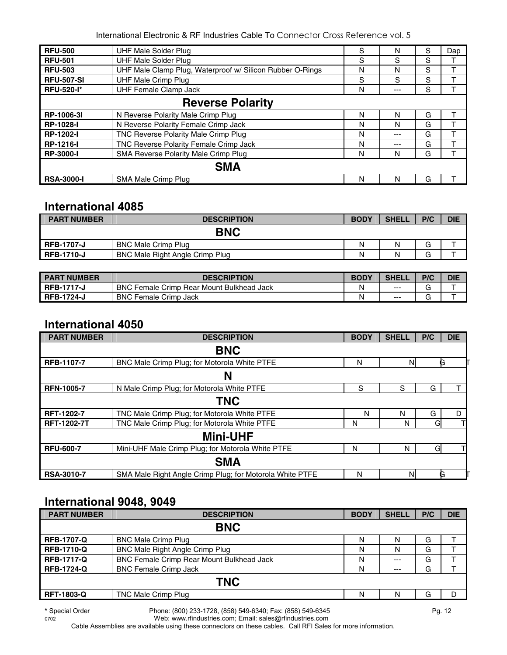| <b>RFU-500</b>          | <b>UHF Male Solder Plug</b>                               | S | N   | S | Dap |  |  |  |
|-------------------------|-----------------------------------------------------------|---|-----|---|-----|--|--|--|
| <b>RFU-501</b>          | <b>UHF Male Solder Plug</b>                               | S | S   | S |     |  |  |  |
| <b>RFU-503</b>          | UHF Male Clamp Plug, Waterproof w/ Silicon Rubber O-Rings | N | N   | S |     |  |  |  |
| <b>RFU-507-SI</b>       | <b>UHF Male Crimp Plug</b>                                | S | S   | S |     |  |  |  |
| <b>RFU-520-I*</b>       | <b>UHF Female Clamp Jack</b>                              | N | --- | S |     |  |  |  |
| <b>Reverse Polarity</b> |                                                           |   |     |   |     |  |  |  |
| RP-1006-3I              | N Reverse Polarity Male Crimp Plug                        | N | N   | G |     |  |  |  |
| <b>RP-1028-I</b>        | N Reverse Polarity Female Crimp Jack                      | N | N   | G |     |  |  |  |
| <b>RP-1202-I</b>        | TNC Reverse Polarity Male Crimp Plug                      | N | --- | G |     |  |  |  |
| <b>RP-1216-I</b>        | TNC Reverse Polarity Female Crimp Jack                    | N | --- | G |     |  |  |  |
| <b>RP-3000-I</b>        | SMA Reverse Polarity Male Crimp Plug                      | N | N   | G |     |  |  |  |
|                         | <b>SMA</b>                                                |   |     |   |     |  |  |  |
| <b>RSA-3000-I</b>       | SMA Male Crimp Plug                                       | N | N   | G |     |  |  |  |

#### **International 4085**

| <b>PART NUMBER</b> | <b>DESCRIPTION</b>                     | <b>BODY</b> | <b>SHELL</b> | P/C    | <b>DIE</b> |
|--------------------|----------------------------------------|-------------|--------------|--------|------------|
|                    | <b>BNC</b>                             |             |              |        |            |
| <b>RFB-1707-J</b>  | <b>BNC Male Crimp Plug</b>             | N           | N            | ⌒<br>G |            |
| <b>RFB-1710-J</b>  | <b>BNC Male Right Angle Crimp Plug</b> | N           | N            | G      |            |

| <b>PART NUMBER</b> | <b>DESCRIPTION</b>                        | <b>BODY</b> | <b>SHELL</b> | P/C | <b>DIE</b> |
|--------------------|-------------------------------------------|-------------|--------------|-----|------------|
| <b>RFB-1717-J</b>  | BNC Female Crimp Rear Mount Bulkhead Jack | Ν           | $- - -$      | ⌒   |            |
| <b>RFB-1724-J</b>  | BNC Female Crimp Jack                     | Ν           | $- - -$      | ⌒   |            |

#### **International 4050**

| <b>PART NUMBER</b> | <b>DESCRIPTION</b>                                       | <b>BODY</b> | <b>SHELL</b> | P/C | <b>DIE</b> |  |  |  |  |
|--------------------|----------------------------------------------------------|-------------|--------------|-----|------------|--|--|--|--|
|                    | <b>BNC</b>                                               |             |              |     |            |  |  |  |  |
| RFB-1107-7         | BNC Male Crimp Plug; for Motorola White PTFE             | N           | N            | G   |            |  |  |  |  |
| N                  |                                                          |             |              |     |            |  |  |  |  |
| <b>RFN-1005-7</b>  | N Male Crimp Plug; for Motorola White PTFE               | S           | S            | G   |            |  |  |  |  |
|                    | <b>TNC</b>                                               |             |              |     |            |  |  |  |  |
| <b>RFT-1202-7</b>  | TNC Male Crimp Plug; for Motorola White PTFE             | N           | N            | G   | D          |  |  |  |  |
| <b>RFT-1202-7T</b> | TNC Male Crimp Plug; for Motorola White PTFE             | N           | N            | G   |            |  |  |  |  |
|                    | <b>Mini-UHF</b>                                          |             |              |     |            |  |  |  |  |
| <b>RFU-600-7</b>   | Mini-UHF Male Crimp Plug; for Motorola White PTFE        | N           | N            | G   |            |  |  |  |  |
|                    | <b>SMA</b>                                               |             |              |     |            |  |  |  |  |
| <b>RSA-3010-7</b>  | SMA Male Right Angle Crimp Plug; for Motorola White PTFE | N           | N            |     |            |  |  |  |  |

#### **International 9048, 9049**

| <b>PART NUMBER</b> | <b>DESCRIPTION</b>                               | <b>BODY</b> | <b>SHELL</b> | P/C | <b>DIE</b> |  |  |  |
|--------------------|--------------------------------------------------|-------------|--------------|-----|------------|--|--|--|
|                    | <b>BNC</b>                                       |             |              |     |            |  |  |  |
| <b>RFB-1707-Q</b>  | <b>BNC Male Crimp Plug</b>                       | N           | N            | G   |            |  |  |  |
| <b>RFB-1710-Q</b>  | BNC Male Right Angle Crimp Plug                  | N           | N            | G   |            |  |  |  |
| <b>RFB-1717-Q</b>  | <b>BNC Female Crimp Rear Mount Bulkhead Jack</b> | N           | $- - -$      | G   |            |  |  |  |
| <b>RFB-1724-Q</b>  | <b>BNC Female Crimp Jack</b>                     | N           | $--$         | G   |            |  |  |  |
| <b>TNC</b>         |                                                  |             |              |     |            |  |  |  |
| <b>RFT-1803-Q</b>  | TNC Male Crimp Plug                              | N           | N            | G   |            |  |  |  |
|                    |                                                  |             |              |     |            |  |  |  |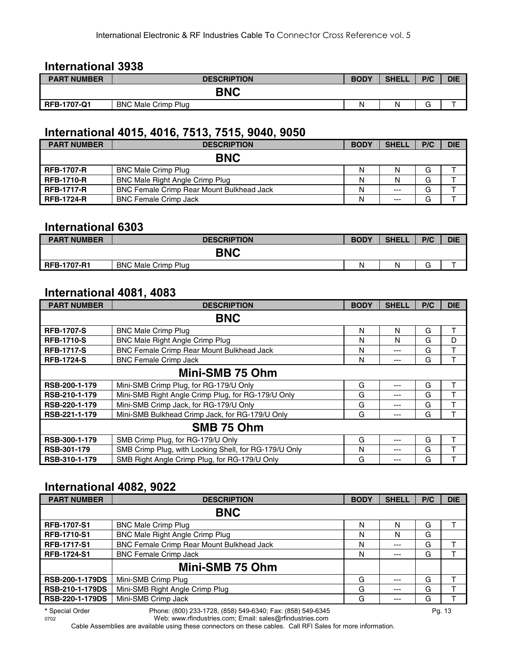#### **International 3938**

| <b>PART NUMBER</b> | <b>DESCRIPTION</b>         | <b>BODY</b> | <b>SHELL</b> | P/C | <b>DIE</b> |
|--------------------|----------------------------|-------------|--------------|-----|------------|
|                    | <b>BNC</b>                 |             |              |     |            |
| <b>RFB-1707-Q1</b> | <b>BNC Male Crimp Plug</b> | Ν           |              |     | -          |

#### **International 4015, 4016, 7513, 7515, 9040, 9050**

| <b>PART NUMBER</b> | <b>DESCRIPTION</b>                               | <b>BODY</b> | <b>SHELL</b> | P/C | <b>DIE</b> |
|--------------------|--------------------------------------------------|-------------|--------------|-----|------------|
|                    | <b>BNC</b>                                       |             |              |     |            |
| <b>RFB-1707-R</b>  | <b>BNC Male Crimp Plug</b>                       | N           | N            | G   |            |
| <b>RFB-1710-R</b>  | <b>BNC Male Right Angle Crimp Plug</b>           | N           | N            | G   |            |
| <b>RFB-1717-R</b>  | <b>BNC Female Crimp Rear Mount Bulkhead Jack</b> | N           | $---$        | G   |            |
| <b>RFB-1724-R</b>  | <b>BNC Female Crimp Jack</b>                     | N           | $---$        | G   |            |

#### **International 6303**

| <b>PART NUMBER</b> | <b>DESCRIPTION</b>         | <b>BODY</b> | <b>SHELL</b> | P/C         | <b>DIE</b> |
|--------------------|----------------------------|-------------|--------------|-------------|------------|
|                    | <b>BNC</b>                 |             |              |             |            |
| <b>RFB-1707-R1</b> | <b>BNC Male Crimp Plug</b> | N           |              | $\sim$<br>G |            |

#### **International 4081, 4083**

| <b>PART NUMBER</b> | <b>DESCRIPTION</b>                                    | <b>BODY</b> | <b>SHELL</b> | P/C | <b>DIE</b> |  |  |  |
|--------------------|-------------------------------------------------------|-------------|--------------|-----|------------|--|--|--|
|                    | <b>BNC</b>                                            |             |              |     |            |  |  |  |
| <b>RFB-1707-S</b>  | <b>BNC Male Crimp Plug</b>                            | N           | N            | G   | Τ          |  |  |  |
| <b>RFB-1710-S</b>  | <b>BNC Male Right Angle Crimp Plug</b>                | N           | N            | G   | D          |  |  |  |
| <b>RFB-1717-S</b>  | <b>BNC Female Crimp Rear Mount Bulkhead Jack</b>      | N           | $---$        | G   | T          |  |  |  |
| <b>RFB-1724-S</b>  | <b>BNC Female Crimp Jack</b>                          | N           | ---          | G   |            |  |  |  |
| Mini-SMB 75 Ohm    |                                                       |             |              |     |            |  |  |  |
| RSB-200-1-179      | Mini-SMB Crimp Plug, for RG-179/U Only                | G           | $--$         | G   | т          |  |  |  |
| RSB-210-1-179      | Mini-SMB Right Angle Crimp Plug, for RG-179/U Only    | G           | ---          | G   | T          |  |  |  |
| RSB-220-1-179      | Mini-SMB Crimp Jack, for RG-179/U Only                | G           | $---$        | G   | т          |  |  |  |
| RSB-221-1-179      | Mini-SMB Bulkhead Crimp Jack, for RG-179/U Only       | G           | $---$        | G   | т          |  |  |  |
|                    | SMB 75 Ohm                                            |             |              |     |            |  |  |  |
| RSB-300-1-179      | SMB Crimp Plug, for RG-179/U Only                     | G           | ---          | G   | т          |  |  |  |
| RSB-301-179        | SMB Crimp Plug, with Locking Shell, for RG-179/U Only | N           | $---$        | G   | т          |  |  |  |
| RSB-310-1-179      | SMB Right Angle Crimp Plug, for RG-179/U Only         | G           | $---$        | G   |            |  |  |  |

#### **International 4082, 9022**

| <b>PART NUMBER</b>     | <b>DESCRIPTION</b>                        | <b>BODY</b> | <b>SHELL</b> | P/C | <b>DIE</b> |
|------------------------|-------------------------------------------|-------------|--------------|-----|------------|
|                        | <b>BNC</b>                                |             |              |     |            |
| <b>RFB-1707-S1</b>     | <b>BNC Male Crimp Plug</b>                | N           | N            | G   |            |
| <b>RFB-1710-S1</b>     | <b>BNC Male Right Angle Crimp Plug</b>    | N           | N            | G   |            |
| <b>RFB-1717-S1</b>     | BNC Female Crimp Rear Mount Bulkhead Jack | N           | $---$        | G   |            |
| <b>RFB-1724-S1</b>     | <b>BNC Female Crimp Jack</b>              | N           | $---$        | G   |            |
|                        | Mini-SMB 75 Ohm                           |             |              |     |            |
| <b>RSB-200-1-179DS</b> | Mini-SMB Crimp Plug                       | G           | $- - -$      | G   |            |
| <b>RSB-210-1-179DS</b> | Mini-SMB Right Angle Crimp Plug           | G           | $---$        | G   |            |
| <b>RSB-220-1-179DS</b> | Mini-SMB Crimp Jack                       | G           | $---$        | G   |            |
| .                      |                                           |             |              |     |            |

**<sup>\*</sup>** Special Order Phone: (800) 233-1728, (858) 549-6340; Fax: (858) 549-6345 Pg. 13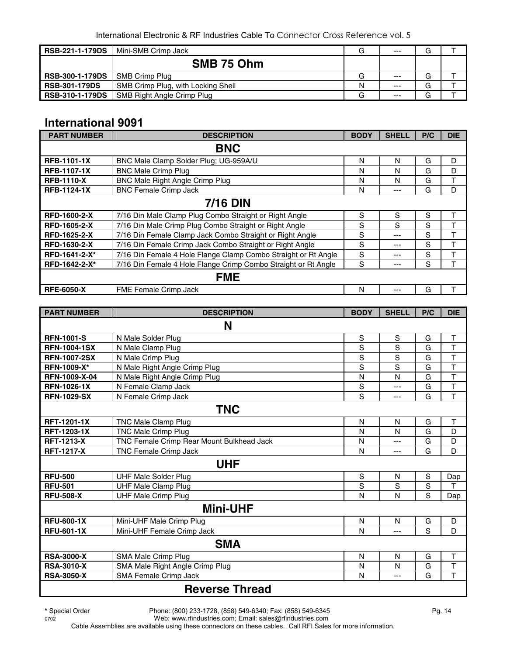| <b>RSB-221-1-179DS</b> | Mini-SMB Crimp Jack                | G | $- - -$ | G |  |
|------------------------|------------------------------------|---|---------|---|--|
|                        | SMB 75 Ohm                         |   |         |   |  |
| <b>RSB-300-1-179DS</b> | SMB Crimp Plug                     | G | $--$    | G |  |
| <b>RSB-301-179DS</b>   | SMB Crimp Plug, with Locking Shell | N | $---$   | G |  |
| <b>RSB-310-1-179DS</b> | SMB Right Angle Crimp Plug         | G | $--$    | G |  |

#### **International 9091**

| <b>PART NUMBER</b>  | <b>DESCRIPTION</b>                                             | <b>BODY</b> | <b>SHELL</b> | P/C | <b>DIE</b> |  |
|---------------------|----------------------------------------------------------------|-------------|--------------|-----|------------|--|
| <b>BNC</b>          |                                                                |             |              |     |            |  |
| <b>RFB-1101-1X</b>  | BNC Male Clamp Solder Plug; UG-959A/U                          | N           | N            | G   | D          |  |
| <b>RFB-1107-1X</b>  | <b>BNC Male Crimp Plug</b>                                     | N           | N            | G   | D          |  |
| <b>RFB-1110-X</b>   | <b>BNC Male Right Angle Crimp Plug</b>                         | N           | N            | G   | т          |  |
| <b>RFB-1124-1X</b>  | <b>BNC Female Crimp Jack</b>                                   | N           | ---          | G   | D          |  |
| <b>7/16 DIN</b>     |                                                                |             |              |     |            |  |
| <b>RFD-1600-2-X</b> | 7/16 Din Male Clamp Plug Combo Straight or Right Angle         | S           | S            | S   | т          |  |
| <b>RFD-1605-2-X</b> | 7/16 Din Male Crimp Plug Combo Straight or Right Angle         | S           | S            | S   | ┯          |  |
| <b>RFD-1625-2-X</b> | 7/16 Din Female Clamp Jack Combo Straight or Right Angle       | S           | ---          | S   | т          |  |
| RFD-1630-2-X        | 7/16 Din Female Crimp Jack Combo Straight or Right Angle       | S           | ---          | S   | т          |  |
| RFD-1641-2-X*       | 7/16 Din Female 4 Hole Flange Clamp Combo Straight or Rt Angle | S           | ---          | S   | ᠇          |  |
| RFD-1642-2-X*       | 7/16 Din Female 4 Hole Flange Crimp Combo Straight or Rt Angle | S           | ---          | S   |            |  |
| <b>FME</b>          |                                                                |             |              |     |            |  |
| <b>RFE-6050-X</b>   | FME Female Crimp Jack                                          | N           |              | G   |            |  |

| <b>PART NUMBER</b>    | <b>DESCRIPTION</b>                        | <b>BODY</b>    | <b>SHELL</b> | P/C         | <b>DIE</b>              |  |  |
|-----------------------|-------------------------------------------|----------------|--------------|-------------|-------------------------|--|--|
| N                     |                                           |                |              |             |                         |  |  |
| <b>RFN-1001-S</b>     | N Male Solder Plug                        | $\mathbf S$    | S            | G           | T                       |  |  |
| <b>RFN-1004-1SX</b>   | N Male Clamp Plug                         | S              | S            | G           | $\overline{\mathsf{T}}$ |  |  |
| <b>RFN-1007-2SX</b>   | N Male Crimp Plug                         | $\overline{s}$ | S            | G           | $\overline{\mathsf{T}}$ |  |  |
| <b>RFN-1009-X*</b>    | N Male Right Angle Crimp Plug             | $\overline{s}$ | S            | G           | $\overline{\mathsf{T}}$ |  |  |
| RFN-1009-X-04         | N Male Right Angle Crimp Plug             | N              | N            | G           | $\overline{\mathsf{T}}$ |  |  |
| <b>RFN-1026-1X</b>    | N Female Clamp Jack                       | S              | $---$        | G           | T                       |  |  |
| <b>RFN-1029-SX</b>    | N Female Crimp Jack                       | S              | $---$        | G           | T                       |  |  |
| <b>TNC</b>            |                                           |                |              |             |                         |  |  |
| RFT-1201-1X           | TNC Male Clamp Plug                       | N              | N            | G           | T                       |  |  |
| <b>RFT-1203-1X</b>    | <b>TNC Male Crimp Plug</b>                | N              | N            | G           | D                       |  |  |
| <b>RFT-1213-X</b>     | TNC Female Crimp Rear Mount Bulkhead Jack | N              | ---          | G           | D                       |  |  |
| <b>RFT-1217-X</b>     | <b>TNC Female Crimp Jack</b>              | N              | $---$        | G           | D                       |  |  |
| <b>UHF</b>            |                                           |                |              |             |                         |  |  |
| <b>RFU-500</b>        | <b>UHF Male Solder Plug</b>               | $\mathbf S$    | N            | $\mathbf S$ | Dap                     |  |  |
| <b>RFU-501</b>        | <b>UHF Male Clamp Plug</b>                | S              | S            | S           | T                       |  |  |
| <b>RFU-508-X</b>      | <b>UHF Male Crimp Plug</b>                | N              | N            | S           | Dap                     |  |  |
| <b>Mini-UHF</b>       |                                           |                |              |             |                         |  |  |
| <b>RFU-600-1X</b>     | Mini-UHF Male Crimp Plug                  | N              | N            | G           | D                       |  |  |
| <b>RFU-601-1X</b>     | Mini-UHF Female Crimp Jack                | N              | ---          | S           | D                       |  |  |
| <b>SMA</b>            |                                           |                |              |             |                         |  |  |
| <b>RSA-3000-X</b>     | SMA Male Crimp Plug                       | N              | N            | G           | $\mathsf T$             |  |  |
| <b>RSA-3010-X</b>     | SMA Male Right Angle Crimp Plug           | N              | N            | G           | T                       |  |  |
| <b>RSA-3050-X</b>     | <b>SMA Female Crimp Jack</b>              | N              | ---          | G           | T                       |  |  |
| <b>Reverse Thread</b> |                                           |                |              |             |                         |  |  |

**\*** Special Order Phone: (800) 233-1728, (858) 549-6340; Fax: (858) 549-6345 Pg. 14